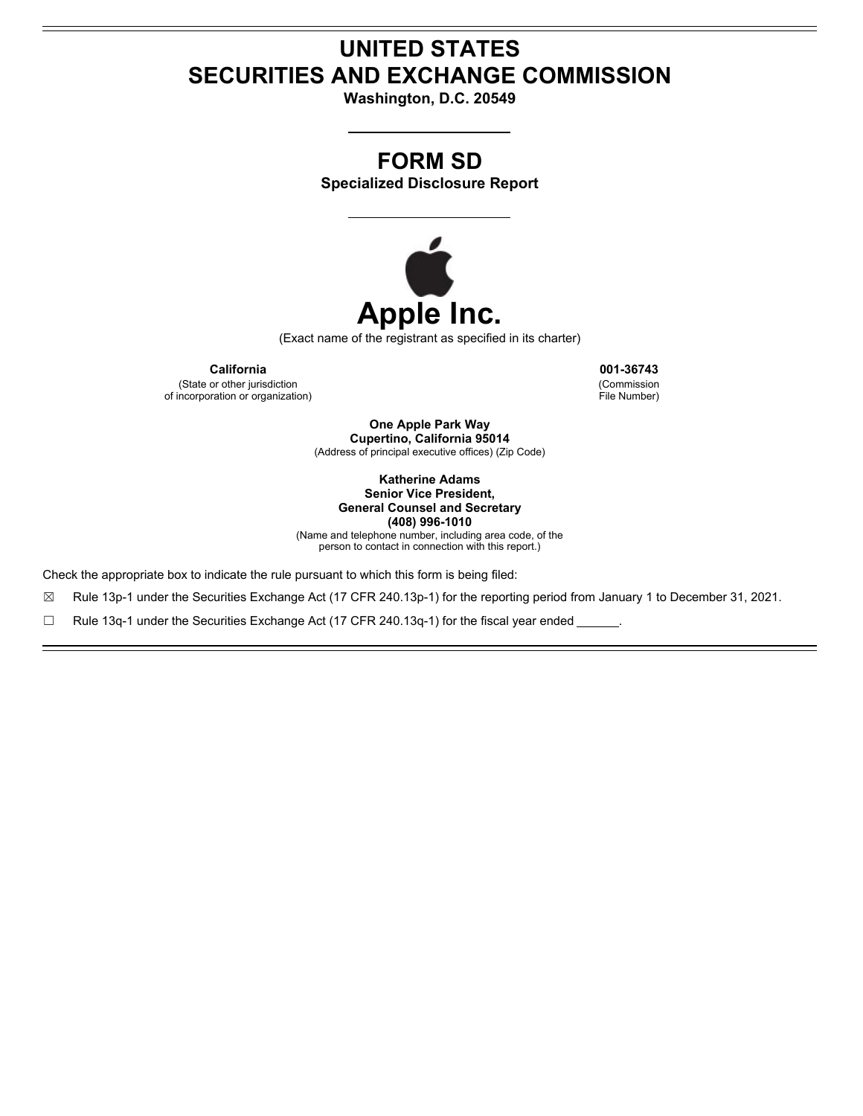# **UNITED STATES SECURITIES AND EXCHANGE COMMISSION**

**Washington, D.C. 20549**

# **FORM SD**

**Specialized Disclosure Report**



(Exact name of the registrant as specified in its charter)

**California 001-36743** (State or other jurisdiction of incorporation or organization)

(Commission File Number)

**One Apple Park Way Cupertino, California 95014** (Address of principal executive offices) (Zip Code)

> **Katherine Adams Senior Vice President, General Counsel and Secretary (408) 996-1010**

(Name and telephone number, including area code, of the person to contact in connection with this report.)

Check the appropriate box to indicate the rule pursuant to which this form is being filed:

☒ Rule 13p-1 under the Securities Exchange Act (17 CFR 240.13p-1) for the reporting period from January 1 to December 31, 2021.

☐ Rule 13q-1 under the Securities Exchange Act (17 CFR 240.13q-1) for the fiscal year ended .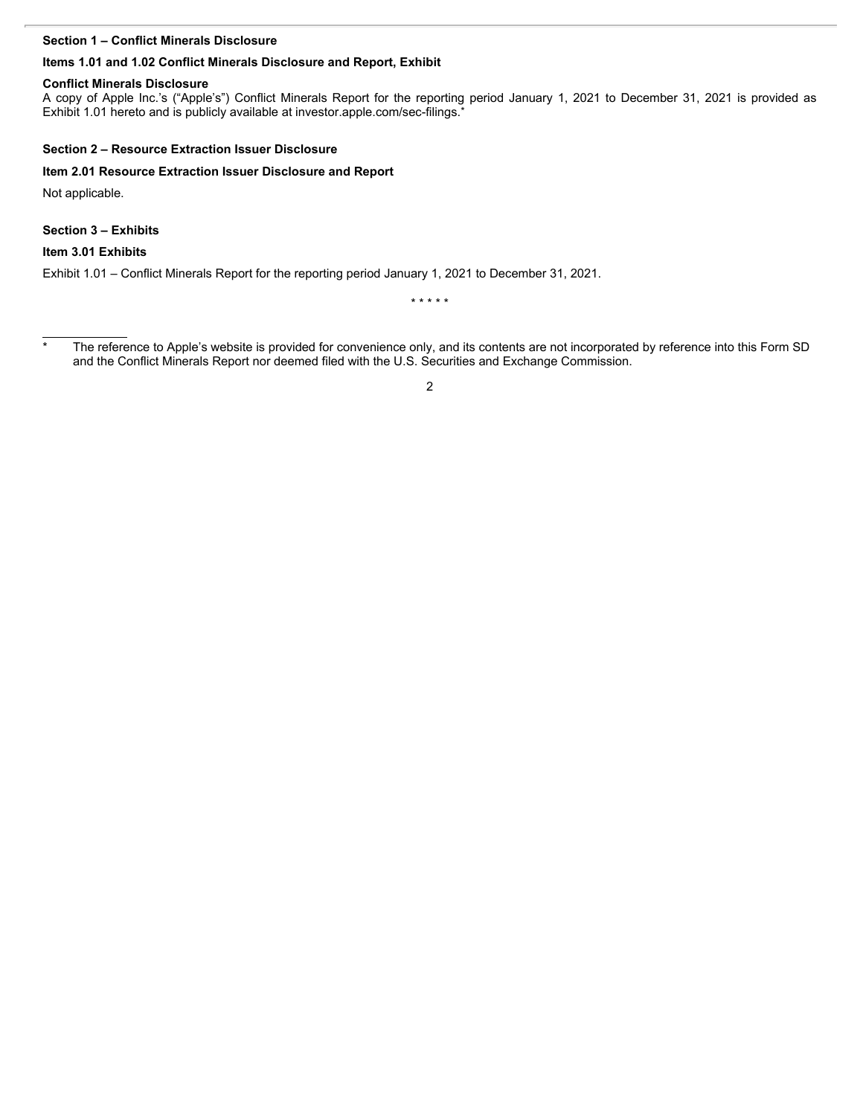#### **Section 1 – Conflict Minerals Disclosure**

#### **Items 1.01 and 1.02 Conflict Minerals Disclosure and Report, Exhibit**

#### **Conflict Minerals Disclosure**

Section 1 – Conflict Minerals Disclosure<br>Items 1.01 and 1.02 Conflict Minerals Disclosure and Report, Exhibit<br>Conflict Minerals Disclosure<br>A copy of Apple Inc.'s ("Apple's") Conflict Minerals Report for the reporting perio Exhibit 1.01 hereto and is publicly available at investor apple.com/sec-filings.

#### **Section 2 – Resource Extraction Issuer Disclosure**

#### **Item 2.01 Resource Extraction Issuer Disclosure and Report**

Not applicable.

**Section 3 – Exhibits**

#### **Item 3.01 Exhibits**

Exhibit 1.01 – Conflict Minerals Report for the reporting period January 1, 2021 to December 31, 2021.

\* \* \* \* \*

2

<sup>&</sup>lt;sup>\*</sup> The reference to Apple's website is provided for convenience only, and its contents are not incorporated by reference into this Form SD and the Conflict Minerals Report nor deemed filed with the U.S. Securities and Exchange Commission.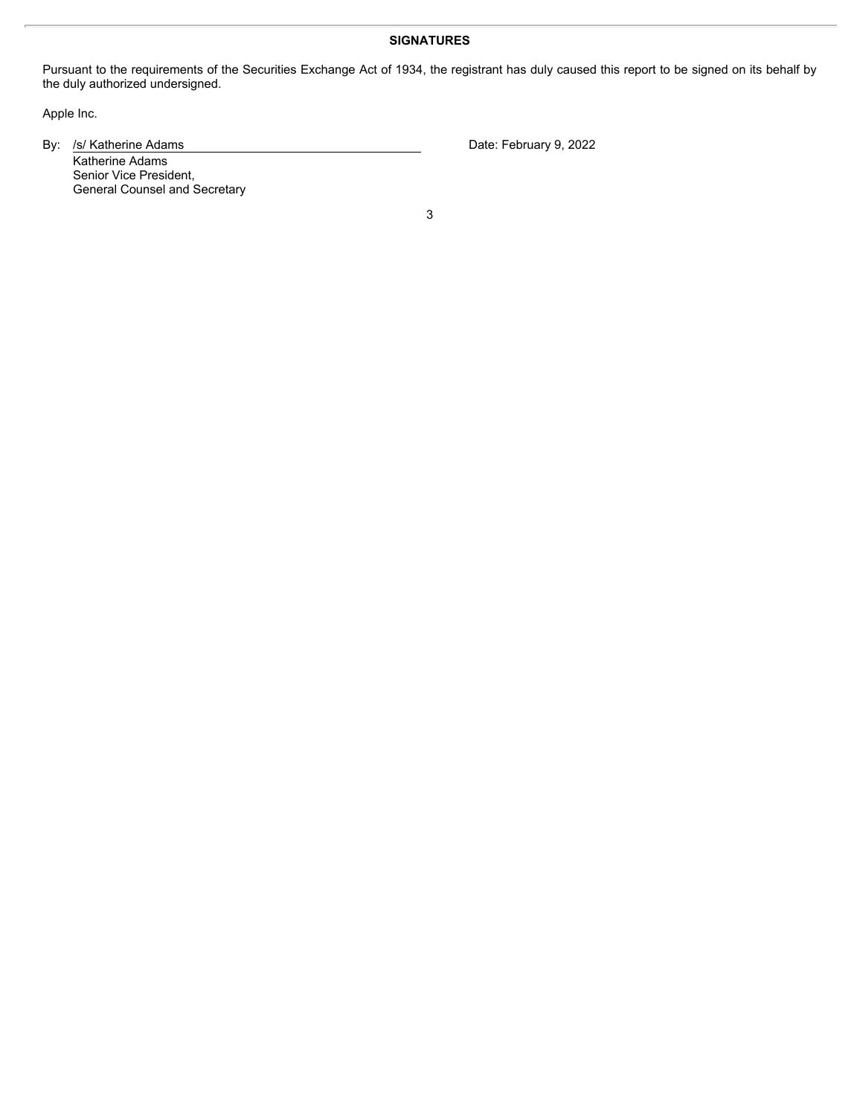#### **SIGNATURES**

Pursuant to the requirements of the Securities Exchange Act of 1934, the registrant has duly caused this report to be signed on its behalf by the duly authorized undersigned.

Apple Inc.

By: /s/ Katherine Adams Date: February 9, 2022

Katherine Adams Senior Vice President, General Counsel and Secretary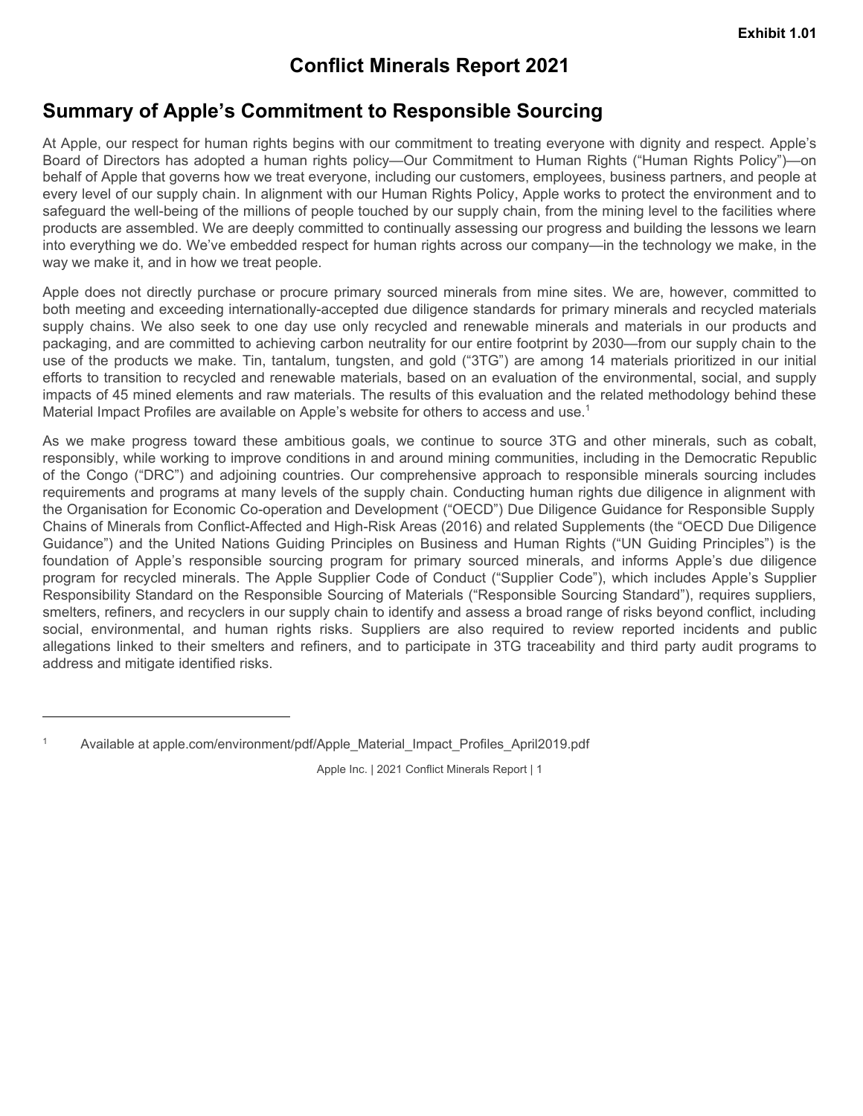## **Conflict Minerals Report 2021**

## **Summary of Apple's Commitment to Responsible Sourcing**

At Apple, our respect for human rights begins with our commitment to treating everyone with dignity and respect. Apple's Board of Directors has adopted a human rights policy—Our Commitment to Human Rights ("Human Rights Policy")—on behalf of Apple that governs how we treat everyone, including our customers, employees, business partners, and people at every level of our supply chain. In alignment with our Human Rights Policy, Apple works to protect the environment and to safeguard the well-being of the millions of people touched by our supply chain, from the mining level to the facilities where products are assembled. We are deeply committed to continually assessing our progress and building the lessons we learn into everything we do. We've embedded respect for human rights across our company—in the technology we make, in the way we make it, and in how we treat people. **Summary of Apple's Commitment to Responsible Sourcing**<br> **Summary of Apple's Commitment to Responsible Sourcing**<br>
At Apple. Survey and the furth of the minimization to train in the single revivore with diginity and respec

Apple does not directly purchase or procure primary sourced minerals from mine sites. We are, however, committed to both meeting and exceeding internationally-accepted due diligence standards for primary minerals and recycled materials packaging, and are committed to achieving carbon neutrality for our entire footprint by 2030—from our supply chain to the use of the products we make. Tin, tantalum, tungsten, and gold ("3TG") are among 14 materials prioritized in our initial efforts to transition to recycled and renewable materials, based on an evaluation of the environmental, social, and supply impacts of 45 mined elements and raw materials. The results of this evaluation and the related methodology behind these

Exhibit 1.01<br>
Summary of Apple's Commitment to Responsible Sourcing<br>
Al Apple our respect for themen rights begins with our commitment to teating everyone with dignity and respect. Apple's<br>
Board of Axedens to as adopted a responsibly, while working to improve conditions in and around mining communities, including in the Democratic Republic **Conflict Minerals Report 2021**<br> **Conflict Minerals Report 2021**<br>
At Apple, our respect for human rights begins with our commitment to treating everyone with dignity and respect. Apple's<br>
Board of Directors has adopted a h requirements and programs at many levels of the supply chain. Conducting human rights due diligence in alignment with the Organisation for Economic Co-operation and Development ("OECD") Due Diligence Guidance for Responsible Supply Chains of Minerals from Conflict-Affected and High-Risk Areas (2016) and related Supplements (the "OECD Due Diligence **Conflict Minerals Report 2021**<br>
But Apple, our respect for burnan rights begins with our commitment to treating everyone with dignity and respect. Apple's<br>
board of Dureculas its scolptosi a further application in a ginar **Summary of Apple's Comflict Minerals Report 2021**<br>
At Apple, our respect for human rights begins with our commitment to treating overyone with digitity and respect. Apple's<br>
Beard of Directos has adopted a human rights p program for recycled minerals. The Apple Supplier Code of Conduct ("Supplier Code"), which includes Apple's Supplier Responsibility Standard on the Responsible Sourcing of Materials ("Responsible Sourcing Standard"), requires suppliers, smelters, refiners, and recyclers in our supply chain to identify and assess a broad range of risks beyond conflict, including **Summary of Apple's Commitment to Responsible Sourcing**<br>At Apple, and response the human rights pleigy and we for commitment to the<br>single percepte with the plane and the state series with our Human Rights rights<br>pleight ( allegations linked to their smelters and refiners, and to participate in 3TG traceability and third party audit programs to address and mitigate identified risks.

<sup>&</sup>lt;sup>1</sup> Available at apple.com/environment/pdf/Apple\_Material\_Impact\_Profiles\_April2019.pdf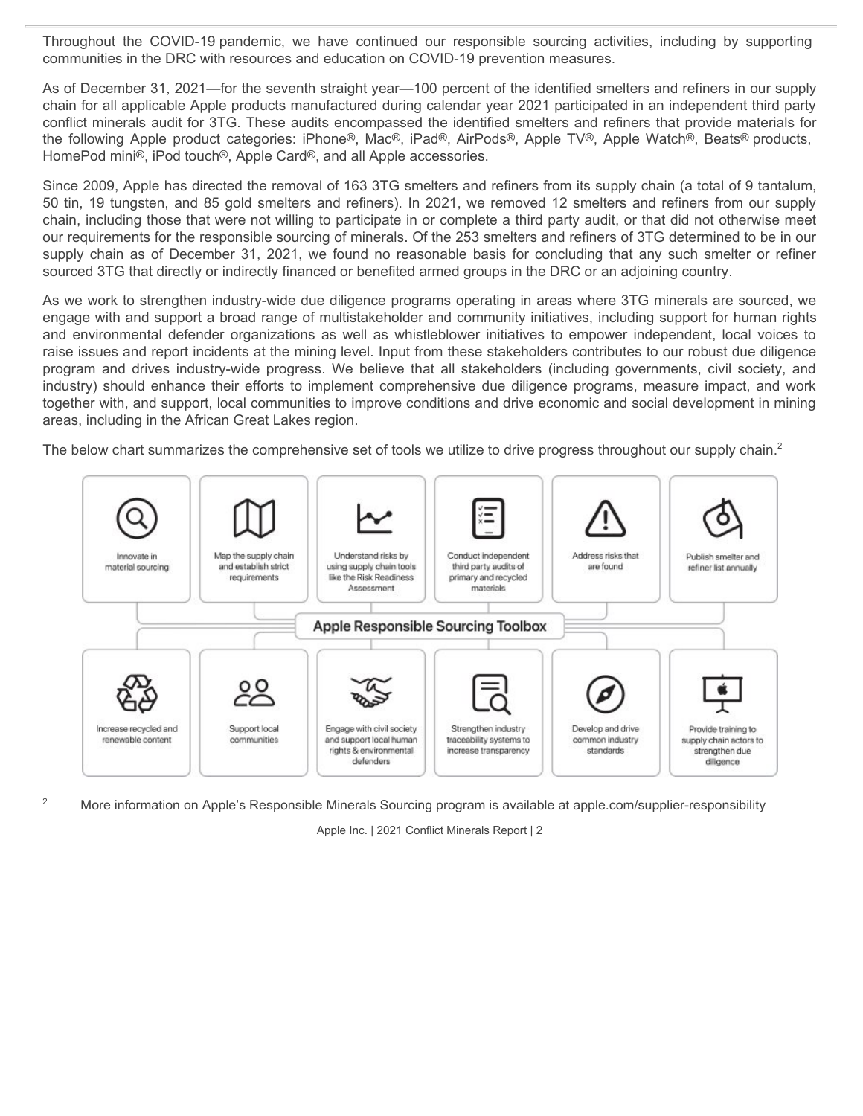communities in the DRC with resources and education on COVID-19 prevention measures.

Throughout the COVID-19 pandemic, we have continued our responsible sourcing activities, including by supporting<br>communities in the DRC with resources and education on COVID-19 prevention measures.<br>As of December 31, 2021— As of December 31, 2021—for the seventh straight year—100 percent of the identified smelters and refiners in our supply chain for all applicable Apple products manufactured during calendar year 2021 participated in an independent third party conflict minerals audit for 3TG. These audits encompassed the identified smelters and refiners that provide materials for HomePod mini®, iPod touch®, Apple Card®, and all Apple accessories.

Throughout the COVID-19 pandemic, we have continued our responsible sourcing activities, including by supporting<br>communities in the DRC with resources and education on COVID-19 prevention measures.<br>As of December 31, 2021— Since 2009, Apple has directed the removal of 163 3TG smelters and refiners from its supply chain (a total of 9 tantalum, 50 tin, 19 tungsten, and 85 gold smelters and refiners). In 2021, we removed 12 smelters and refiners from our supply chain, including those that were not willing to participate in or complete a third party audit, or that did not otherwise meet our requirements for the responsible sourcing of minerals. Of the 253 smelters and refiners of 3TG determined to be in our Throughout the COVID-19 pandemic, we have continued our responsible sourcing activities, including by supporting<br>communities in the DRC with resources and education on COVID-19 prevention measures.<br>As of December 31, 2021 sourced 3TG that directly or indirectly financed or benefited armed groups in the DRC or an adjoining country.

As we work to strengthen industry-wide due diligence programs operating in areas where 3TG minerals are sourced, we engage with and support a broad range of multistakeholder and community initiatives, including support for human rights Throughout the COVID-19 pandemic, we have continued our responsible sourcing activities, including by supporting<br>communities in the DRC with resources and education on COVID-19 prevention measures.<br>As of December 31, 2021 raise issues and report incidents at the mining level. Input from these stakeholders contributes to our robust due diligence Throughout the COVID-19 pandemic, we have continued our responsible sourcing activities, including by supporting<br>communities in the DRC with resources and education on COVID-19 prevention measures.<br>As of December 31, 2021 industry) should enhance their efforts to implement comprehensive due diligence programs, measure impact, and work together with, and support, local communities to improve conditions and drive economic and social development in mining areas, including in the African Great Lakes region.

The below chart summarizes the comprehensive set of tools we utilize to drive progress throughout our supply chain.<sup>2</sup>



<sup>2</sup> More information on Apple's Responsible Minerals Sourcing program is available at apple.com/supplier-responsibility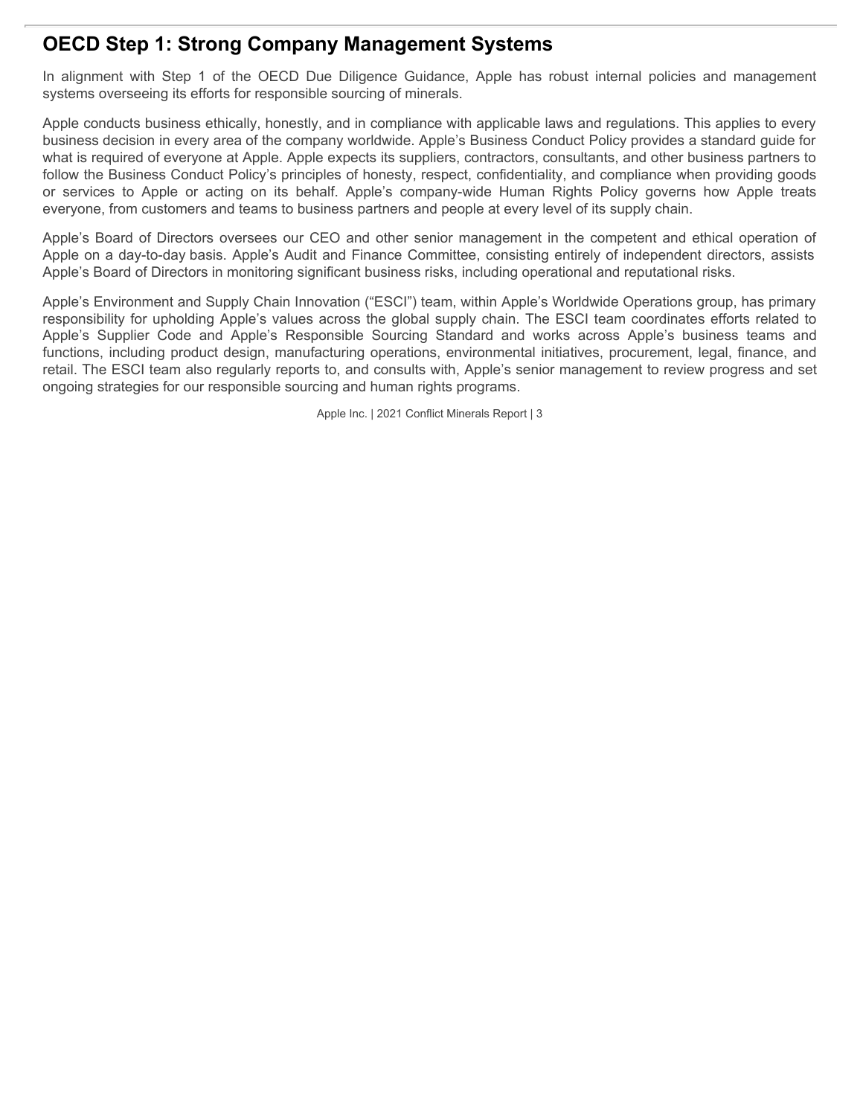## **OECD Step 1: Strong Company Management Systems**

systems overseeing its efforts for responsible sourcing of minerals.

**OECD Step 1: Strong Company Management Systems**<br>In alignment with Step 1 of the OECD Due Diligence Guidance, Apple has robust internal policies and management<br>systems overseeing its efforts for responsible sourcing of min Apple conducts business ethically, honestly, and in compliance with applicable laws and regulations. This applies to every business decision in every area of the company worldwide. Apple's Business Conduct Policy provides a standard guide for what is required of everyone at Apple. Apple expects its suppliers, contractors, consultants, and other business partners to follow the Business Conduct Policy's principles of honesty, respect, confidentiality, and compliance when providing goods **OECD Step 1: Strong Company Management Systems**<br>
In alignment with Step 1 of the OECD Due Diligence Guidance, Apple has robust internal policies and management<br>
systems overseeing its efforts for responsible sourcing of m everyone, from customers and teams to business partners and people at every level of its supply chain.

Apple's Board of Directors oversees our CEO and other senior management in the competent and ethical operation of Apple on a day-to-day basis. Apple's Audit and Finance Committee, consisting entirely of independent directors, assists Apple's Board of Directors in monitoring significant business risks, including operational and reputational risks.

Apple's Environment and Supply Chain Innovation ("ESCI") team, within Apple's Worldwide Operations group, has primary responsibility for upholding Apple's values across the global supply chain. The ESCI team coordinates efforts related to **OECD Step 1: Strong Company Management Systems**<br>The alignment with Step 1 of the OECD Due Dilignence Guidance, Apple has robust internal policies and management<br>Evidence Systems overseeing its efforts for responsible sour functions, including product design, manufacturing operations, environmental initiatives, procurement, legal, finance, and retail. The ESCI team also regularly reports to, and consults with, Apple's senior management to review progress and set ongoing strategies for our responsible sourcing and human rights programs.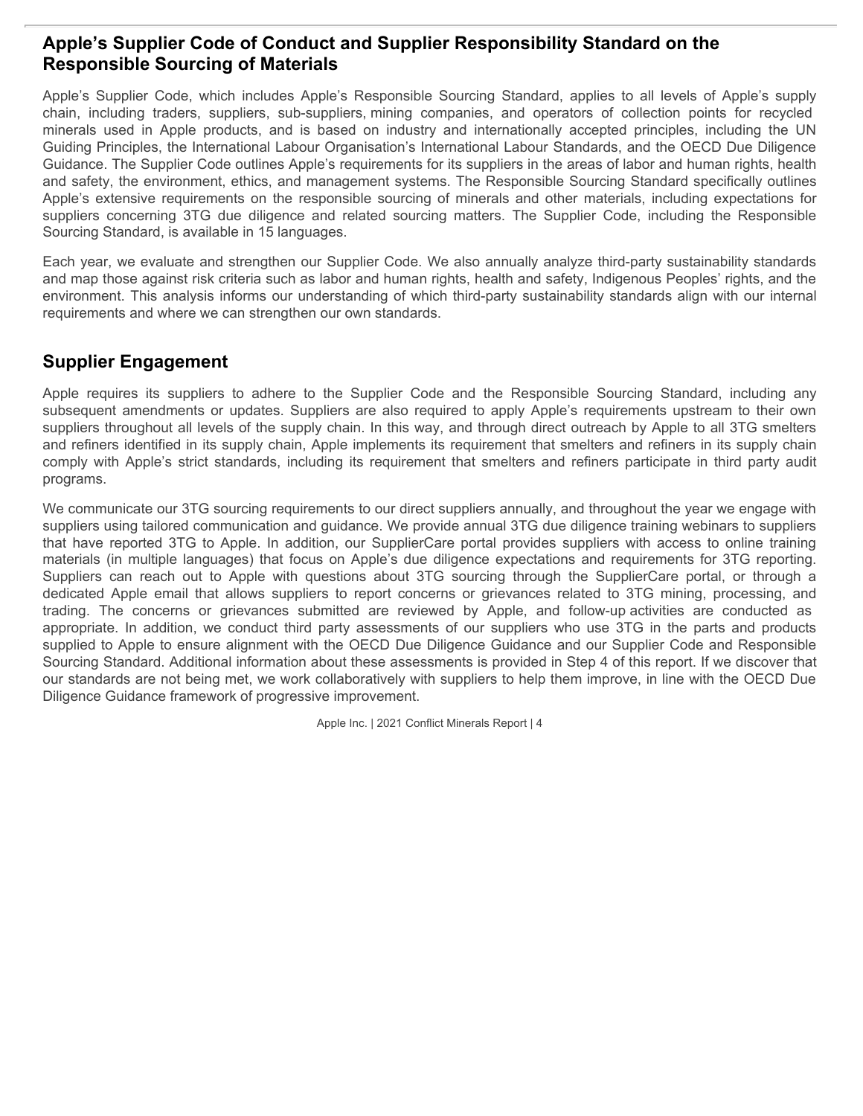### **Apple's Supplier Code of Conduct and Supplier Responsibility Standard on the Responsible Sourcing of Materials**

Apple's Supplier Code of Conduct and Supplier Responsibility Standard on the<br>Responsible Sourcing of Materials<br>Apple's Supplier Code, which includes Apple's Responsible Sourcing Standard, applies to all levels of Apple's s **Apple's Supplier Code of Conduct and Supplier Responsibility Standard on the Responsible Sourcing of Materials**<br>
Apple's Supplier Code, which includes Apple's Responsible Sourcing Standard, applies to all levels of Apple' **Apple's Supplier Code of Conduct and Supplier Responsibility Standard on the Responsible Sourcing of Materials<br>
Apple's Supplier Code, which includes Apple's Responsible Sourcing Standard, applies to all levels of Apple's** Guiding Principles, the International Labour Organisation's International Labour Standards, and the OECD Due Diligence Guidance. The Supplier Code outlines Apple's requirements for its suppliers in the areas of labor and human rights, health and safety, the environment, ethics, and management systems. The Responsible Sourcing Standard specifically outlines **Apple's Supplier Code of Conduct and Supplier Responsibility Standard on the Responsible Sourcing of Materials**<br>Apple's Supplier Code, which includes Apple's Responsible Sourcing Standard, applies to all levels of Apple's **Apple's Supplier Code of Conduct and Supplier Responsibility Standard on the Responsible Sourcing of Materials<br>
Responsible Sourcing of Materials<br>
Chaple's supplier Code, which includes Apple's Responsible Sourcing Standa** Sourcing Standard, is available in 15 languages. **Apple's Supplier Code of Conduct and Supplier Responsibility Standard on the Responsible Sourcing of Materials<br>
Apple's Supplier Code, which includes Apple's Responsible Sourcing Standard, applies to all levels of Apple's Apple's Supplier Code of Conduct and Supplier Responsibility Standard on the<br>
Responsible Sourcing of Materials<br>
Apple's suppliy<br>
Apple's suppliy<br>
Apple's suppliy<br>
Apple's suppliy coare, supliers, sub-apple's methanology Apple's Supplier Code of Conduct and Supplier Responsibility Standard on the Responsible Sourcing of Materials<br>Apple's supplier Code, which indudes Apple's Responsible Sourcing Standard, applies to all levels of Apple's s** 

Each year, we evaluate and strengthen our Supplier Code. We also annually analyze third-party sustainability standards and map those against risk criteria such as labor and human rights, health and safety, Indigenous Peoples' rights, and the environment. This analysis informs our understanding of which third-party sustainability standards align with our internal requirements and where we can strengthen our own standards.

### **Supplier Engagement**

suppliers throughout all levels of the supply chain. In this way, and through direct outreach by Apple to all 3TG smelters and refiners identified in its supply chain, Apple implements its requirement that smelters and refiners in its supply chain programs.

We communicate our 3TG sourcing requirements to our direct suppliers annually, and throughout the year we engage with suppliers using tailored communication and guidance. We provide annual 3TG due diligence training webinars to suppliers **Apple's Supplier Code of Conduct and Supplier Responsibility Standard on the Responsibile Sourcing of Materials<br>Apple's Supplier Code which includes Apple's Responsible Sourcing Standard, applies to all levels of Apple's Apple's Supplier Code of Conduct and Supplier Responsibility Standard on the Responsible Sourcing Shedara is the line of Apple's supply<br>Reple's Supplier Code which includes Apple's Responsible Sourcing Standard, applies t Apple's Supplier Code of Conduct and Supplier Responsibility Standard on the Responsible Supple's Suppley Suppley Code, which includes Apple's Responsible Sourcing Tstandard, applies to all lovels of Apple's supply<br>Apple' Responsible Sourchig of Materials**<br> **Responsible Sourchig modes apples Responsibe Sourcing Standard, applies to all levels of Apple's supply<br>contain, including trades, suppliers, sub-auppliers, mining companes, and operat** To concern the concerns or the concerns or the concerns or the concerns or detection positivities are are reviewed by Apple in the concerns or the concerns or the concerns or the concerns or the concerns or the concerns or Applier Engagement<br>
Applies. Suppliers, sub-uppliers, sub-uppliers, mining comparies, and operators of callection parts for Applies to the<br>
minimization space in Applie Tomations and is based on hidustop and in<br>hierals use supplied to Apple to ensure alignment with the OECD Due Diligence Guidance and our Supplier Code and Responsible Sourcing Standard. Additional information about these assessments is provided in Step 4 of this report. If we discover that our standards are not being met, we work collaboratively with suppliers to help them improve, in line with the OECD Due Diligence Guidance framework of progressive improvement.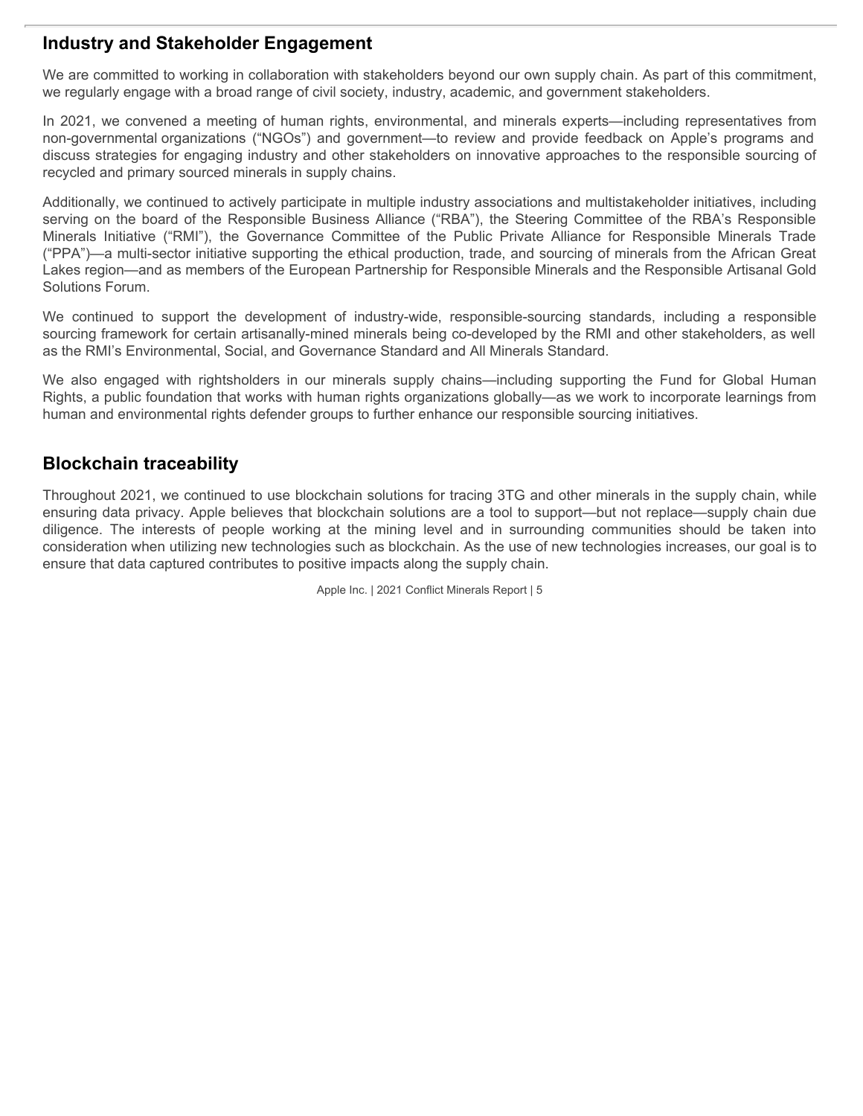#### **Industry and Stakeholder Engagement**

We are committed to working in collaboration with stakeholders beyond our own supply chain. As part of this commitment, we regularly engage with a broad range of civil society, industry, academic, and government stakeholders.

In 2021, we convened a meeting of human rights, environmental, and minerals experts—including representatives from discuss strategies for engaging industry and other stakeholders on innovative approaches to the responsible sourcing of recycled and primary sourced minerals in supply chains.

**Industry and Stakeholder Engagement**<br>We are committed to working in collaboration with stakeholders beyond our own supply chain. As part of this commitment,<br>we regularly engage with a broad range of civil society, industr Additionally, we continued to actively participate in multiple industry associations and multistakeholder initiatives, including serving on the board of the Responsible Business Alliance ("RBA"), the Steering Committee of the RBA's Responsible **Industry and Stakeholder Engagement**<br>We are committed to working in collaboration with stakeholders beyond our own supply chain. As part of this commitment,<br>we regularly engage with a broad range of civil society, industr ("PPA")—a multi-sector initiative supporting the ethical production, trade, and sourcing of minerals from the African Great Lakes region—and as members of the European Partnership for Responsible Minerals and the Responsible Artisanal Gold Solutions Forum. **Industry and Stakeholder Engagement**<br>We are committed to working in cliaboration with stakeholders beyond our own supply chain. As part of this commitment,<br>we regularly engage with a broad range of civil society, industry **Industry and Stakeholder Engagement**<br>We are committed to working in collaboration with stakeholders beyond our own supply chain. As part of this commitment,<br>we regularly engage with a broad range of civil society, industr **Industry and Stakeholder Engagement**<br>We are committed to verking in collaboration with stakeholders beyond our own supply chain. As part of this commitment,<br>we regularly engage with a broad range of churan rights, environ

sourcing framework for certain artisanally-mined minerals being co-developed by the RMI and other stakeholders, as well as the RMI's Environmental, Social, and Governance Standard and All Minerals Standard.

Rights, a public foundation that works with human rights organizations globally—as we work to incorporate learnings from human and environmental rights defender groups to further enhance our responsible sourcing initiatives.

### **Blockchain traceability**

Throughout 2021, we continued to use blockchain solutions for tracing 3TG and other minerals in the supply chain, while ensuring data privacy. Apple believes that blockchain solutions are a tool to support—but not replace—supply chain due consideration when utilizing new technologies such as blockchain. As the use of new technologies increases, our goal is to ensure that data captured contributes to positive impacts along the supply chain.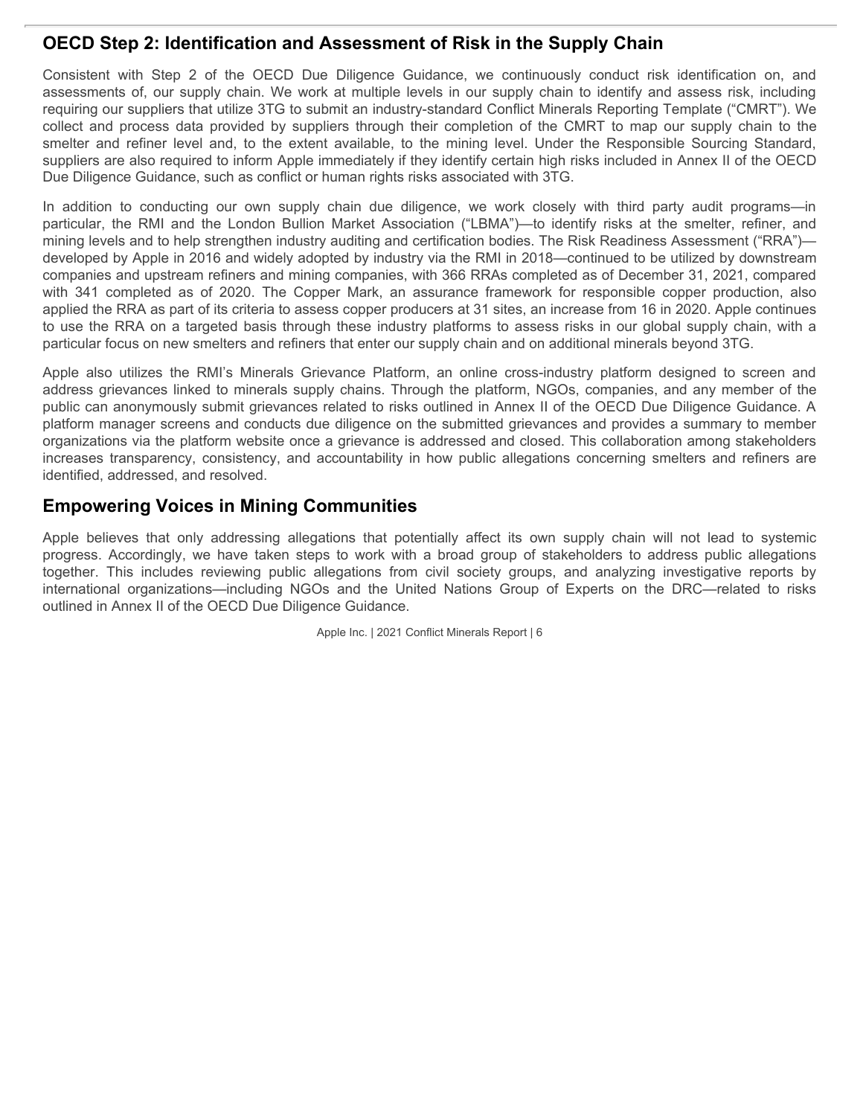### **OECD Step 2: Identification and Assessment of Risk in the Supply Chain**

**OECD Step 2: Identification and Assessment of Risk in the Supply Chain**<br>Consistent with Step 2 of the OECD Due Diligence Guidance, we continuously conduct risk identification on, and<br>assessments of, our supply chain. We w assessments of, our supply chain. We work at multiple levels in our supply chain to identify and assess risk, including requiring our suppliers that utilize 3TG to submit an industry-standard Conflict Minerals Reporting Template ("CMRT"). We **OECD Step 2: Identification and Assessment of Risk in the Supply Chain**<br>Consistent with Step 2 of the OECD Due Diligence Guidance, we continuously conduct risk identification on, and<br>assessments of, our supply chain. We w **OECD Step 2: Identification and Assessment of Risk in the Supply Chain**<br>Consistent with Step 2 of the OECD Due Diligence Guidance, we continuously conduct risk identification on, and<br>assessments of, our supply chain. We w suppliers are also required to inform Apple immediately if they identify certain high risks included in Annex II of the OECD Due Diligence Guidance, such as conflict or human rights risks associated with 3TG.

**OECD Step 2: Identification and Assessment of Risk in the Supply Chain**<br>Consistent with Step 2 of the OECD Due Diligence Guidance, we continuously conduct risk identification on, and<br>assessments of, our supply chain. We w **OECD Step 2: Identification and Assessment of Risk in the Supply Chain**<br>Consistent with Step 2 of the OECD Due Diligence Guidance, we continuously conduct risk identification on, and<br>assessments of, our supply chain. We w mining levels and to help strengthen industry auditing and certification bodies. The Risk Readiness Assessment ("RRA") developed by Apple in 2016 and widely adopted by industry via the RMI in 2018—continued to be utilized by downstream companies and upstream refiners and mining companies, with 366 RRAs completed as of December 31, 2021, compared **OECD Step 2: Identification and Assessment of Risk in the Supply Chain**<br>Consistent with Step 2 of the OECD Due Diligence Guidance, we continuously conduct risk identification on, and<br>assessements of, our suppliers that ut applied the RRA as part of its criteria to assess copper producers at 31 sites, an increase from 16 in 2020. Apple continues to use the RRA on a targeted basis through these industry platforms to assess risks in our global supply chain, with a particular focus on new smelters and refiners that enter our supply chain and on additional minerals beyond 3TG. **OECD Step 2: Identification and Assessment of Risk in the Supply Chain**<br>Consistent with Step 2 of the OECD Due Diligence Guidance, we continuously conduct risk identification on, and<br>assessments of, our supply chain. We w **OECD Stop 2: lehntification and Assessment of Risk in the Supply Chain<br>Consistent with Step 2 of the OECD Due Diligence Guidance, we continuously conduct risk identification on, and<br>assessments of, our supply chain. You w OECD Step 2: Identification and Assessment of Risk in the Supply Chain<br>Consistent with Step 2 of the OECD Due Diligence Guidance, we continuously conduct its identification on, and<br>assessments of, our supply bath. We work OECD Stop 2: Identification and Assessment of Risk in the Supply Chain<br>Consistent with Step 2 of the OECD bue Diagnne Guidance, we continuously conduct interdiction on, and<br>assessments of, our supply chain, wie work at i** OECD Step 2: Identification and Assessment of RIsk in the Supply Chain<br>
consistent with Step 2 of the OCCD Due Diligence Guidance, we continuously conduct itsit is experimented the<br>
assessments of, our supply chan. We wor Consider the Rick as part of the thermatic state in the United National organizations are a state of the United National organizations of the United Nations And the United Nations Group of Experts on the United Nations Gro

address grievances linked to minerals supply chains. Through the platform, NGOs, companies, and any member of the public can anonymously submit grievances related to risks outlined in Annex II of the OECD Due Diligence Guidance. A platform manager screens and conducts due diligence on the submitted grievances and provides a summary to member organizations via the platform website once a grievance is addressed and closed. This collaboration among stakeholders identified, addressed, and resolved.

### **Empowering Voices in Mining Communities**

outlined in Annex II of the OECD Due Diligence Guidance.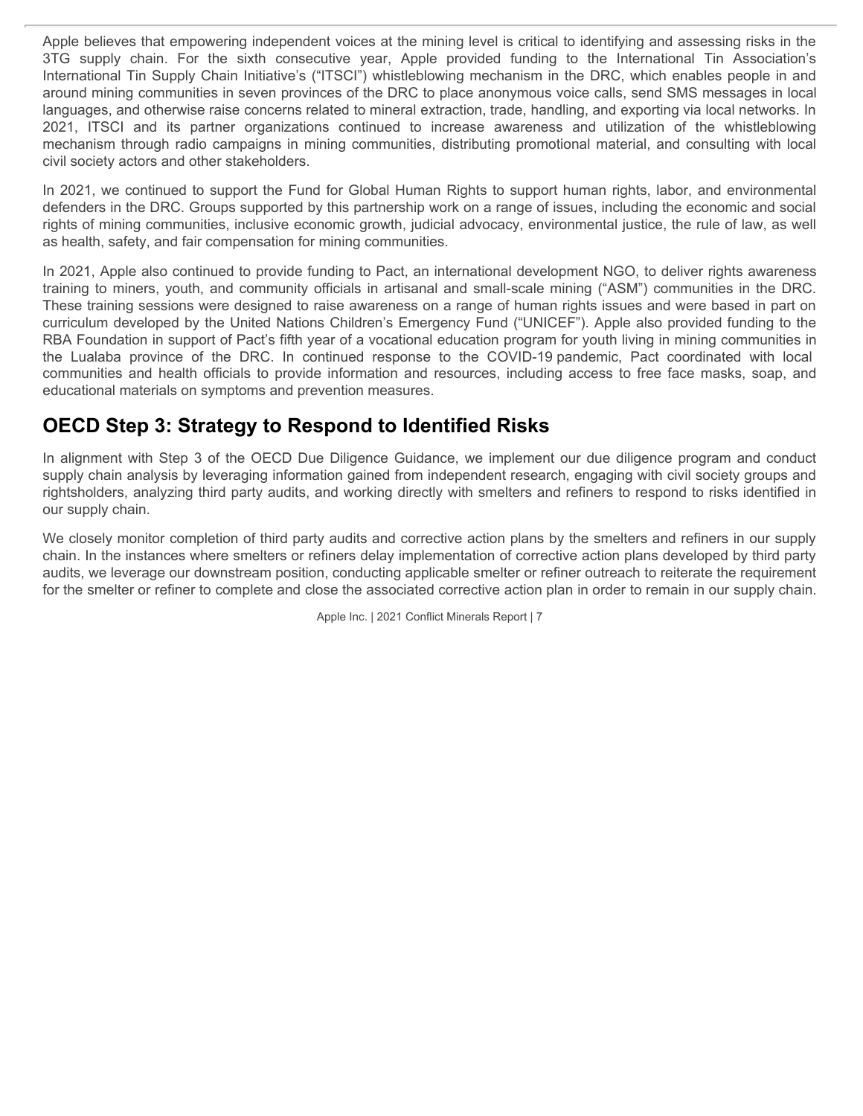Apple believes that empowering independent voices at the mining level is critical to identifying and assessing risks in the Apple believes that empowering independent voices at the mining level is critical to identifying and assessing risks in the 3TG supply chain. For the sixth consecutive year, Apple provided funding to the International Tin International Tin Supply Chain Initiative's ("ITSCI") whistleblowing mechanism in the DRC, which enables people in and around mining communities in seven provinces of the DRC to place anonymous voice calls, send SMS messages in local languages, and otherwise raise concerns related to mineral extraction, trade, handling, and exporting via local networks. In Apple believes that empowering independent voices at the mining level is critical to identifying and assessing risks in the 3TG supply chain. For the sixth consecutive year, Apple provided funding to the International Tin mechanism through radio campaigns in mining communities, distributing promotional material, and consulting with local civil society actors and other stakeholders. Apple believes that empowering independent voices at the mining level is critical to identifying and assessing risks in the first supply chain. For the sixth consecutive year, Apple provided funding to the international Ti Apple believes that empowering independent voices at the mining level is critical to identifying and assessing risks in the 3TG supply chain. For the sixth consecutive year, Apple provided funding to the International Tin

In 2021, we continued to support the Fund for Global Human Rights to support human rights, labor, and environmental defenders in the DRC. Groups supported by this partnership work on a range of issues, including the economic and social rights of mining communities, inclusive economic growth, judicial advocacy, environmental justice, the rule of law, as well as health, safety, and fair compensation for mining communities.

In 2021, Apple also continued to provide funding to Pact, an international development NGO, to deliver rights awareness training to miners, youth, and community officials in artisanal and small-scale mining ("ASM") communities in the DRC. These training sessions were designed to raise awareness on a range of human rights issues and were based in part on curriculum developed by the United Nations Children's Emergency Fund ("UNICEF"). Apple also provided funding to the RBA Foundation in support of Pact's fifth year of a vocational education program for youth living in mining communities in educational materials on symptoms and prevention measures.

## **OECD Step 3: Strategy to Respond to Identified Risks**

In alignment with Step 3 of the OECD Due Diligence Guidance, we implement our due diligence program and conduct supply chain analysis by leveraging information gained from independent research, engaging with civil society groups and rightsholders, analyzing third party audits, and working directly with smelters and refiners to respond to risks identified in our supply chain.

We closely monitor completion of third party audits and corrective action plans by the smelters and refiners in our supply chain. In the instances where smelters or refiners delay implementation of corrective action plans developed by third party audits, we leverage our downstream position, conducting applicable smelter or refiner outreach to reiterate the requirement for the smelter or refiner to complete and close the associated corrective action plan in order to remain in our supply chain.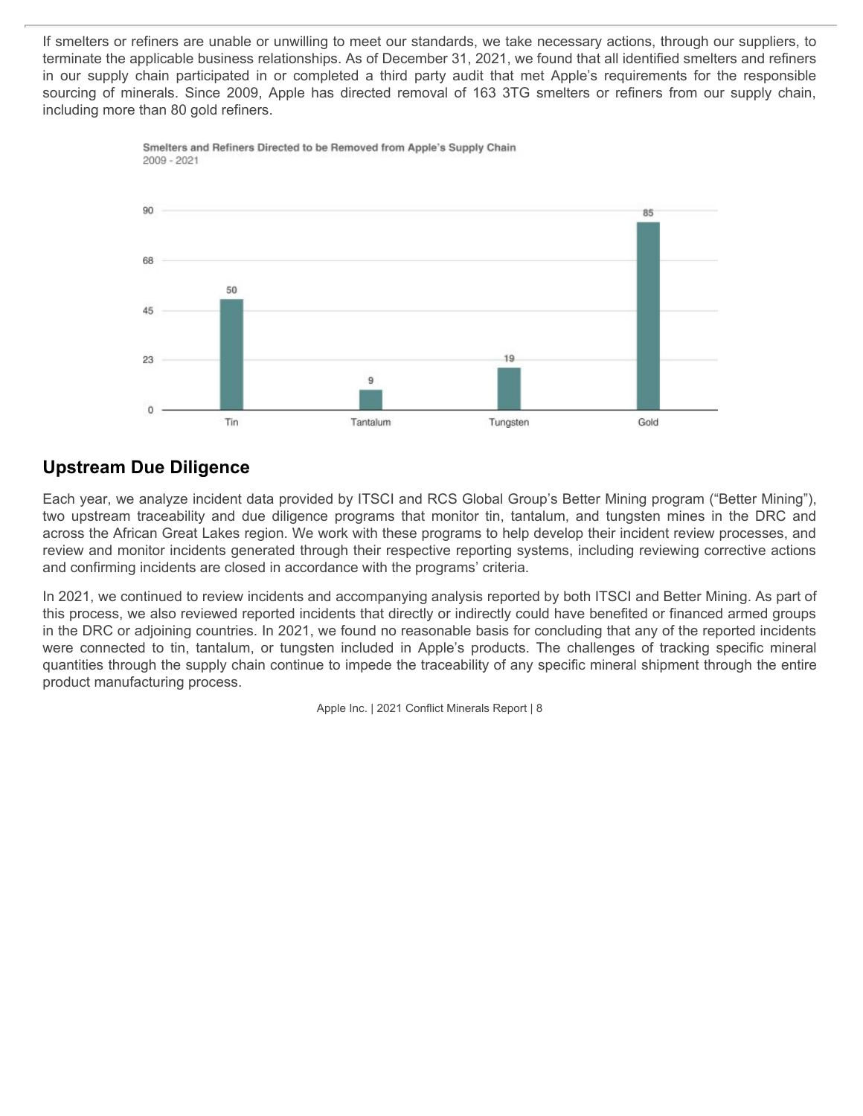If smelters or refiners are unable or unwilling to meet our standards, we take necessary actions, through our suppliers, to terminate the applicable business relationships. As of December 31, 2021, we found that all identified smelters and refiners If smelters or refiners are unable or unwilling to meet our standards, we take necessary actions, through our suppliers, to<br>terminate the applicable business relationships. As of December 31, 2021, we found that all identi If smelters or refiners are unable or unwilling to meet our standards, we take necessary actions, through our suppliers, to<br>terminate the applicable business relationships. As of December 31, 2021, we found that all identi including more than 80 gold refiners.





### **Upstream Due Diligence**

Each year, we analyze incident data provided by ITSCI and RCS Global Group's Better Mining program ("Better Mining"), across the African Great Lakes region. We work with these programs to help develop their incident review processes, and review and monitor incidents generated through their respective reporting systems, including reviewing corrective actions and confirming incidents are closed in accordance with the programs' criteria.

In 2021, we continued to review incidents and accompanying analysis reported by both ITSCI and Better Mining. As part of this process, we also reviewed reported incidents that directly or indirectly could have benefited or financed armed groups in the DRC or adjoining countries. In 2021, we found no reasonable basis for concluding that any of the reported incidents quantities through the supply chain continue to impede the traceability of any specific mineral shipment through the entire product manufacturing process.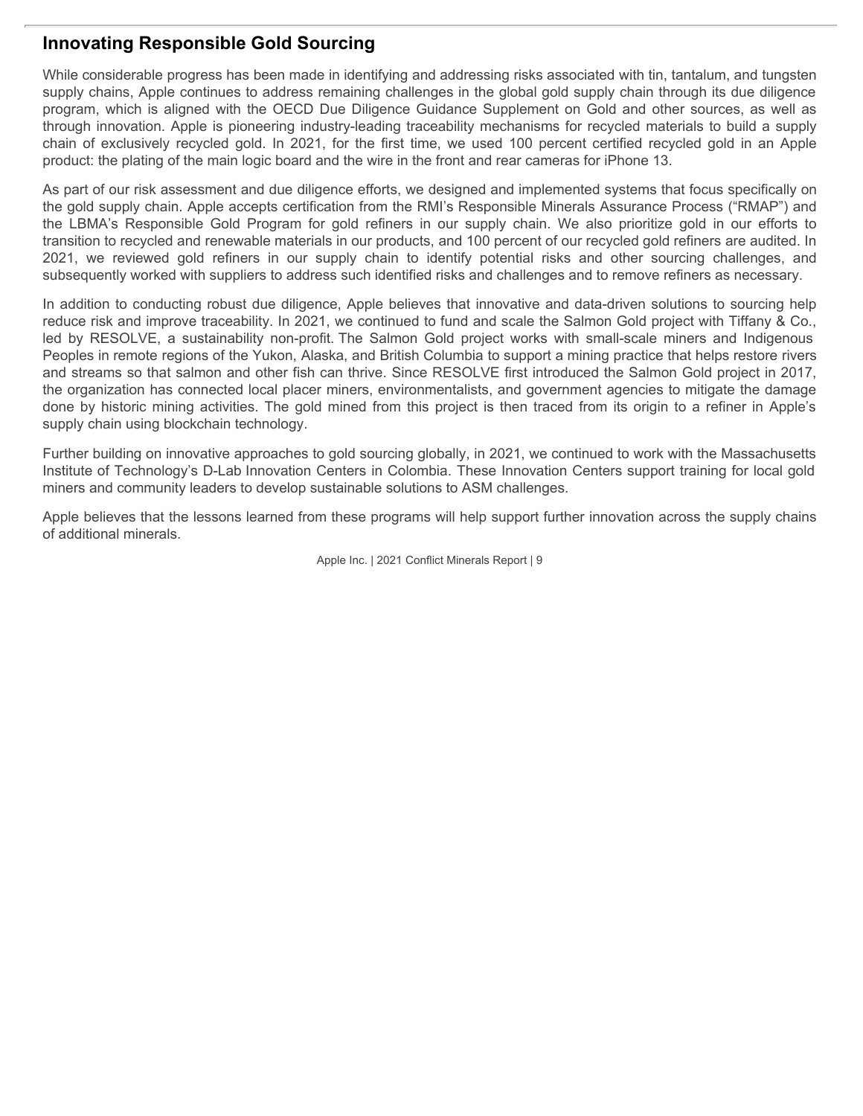### **Innovating Responsible Gold Sourcing**

While considerable progress has been made in identifying and addressing risks associated with tin, tantalum, and tungsten supply chains, Apple continues to address remaining challenges in the global gold supply chain through its due diligence program, which is aligned with the OECD Due Diligence Guidance Supplement on Gold and other sources, as well as through innovation. Apple is pioneering industry-leading traceability mechanisms for recycled materials to build a supply **Innovating Responsible Gold Sourcing**<br>While considerable progress has been made in identifying and addressing risks associated with tin, tantalum, and tungsten<br>supply chains, Apple continues to address remaining challenge product: the plating of the main logic board and the wire in the front and rear cameras for iPhone 13.

As part of our risk assessment and due diligence efforts, we designed and implemented systems that focus specifically on the gold supply chain. Apple accepts certification from the RMI's Responsible Minerals Assurance Process ("RMAP") and **Innovating Responsible Gold Sourcing**<br>While considerable progress has been made in identifying and addressing risks associated with tin, tantalum, and tungsten<br>supply chains, Apple continues to address remaining challenge transition to recycled and renewable materials in our products, and 100 percent of our recycled gold refiners are audited. In **Innovating Responsible Gold Sourcing**<br>While considerable progress has been mede in identifying and addressing risks associated with tin, tantalum, and tungsten<br>supply chains. Apple continues to address remaining challenge subsequently worked with suppliers to address such identified risks and challenges and to remove refiners as necessary.

In addition to conducting robust due diligence, Apple believes that innovative and data-driven solutions to sourcing help reduce risk and improve traceability. In 2021, we continued to fund and scale the Salmon Gold project with Tiffany & Co., **Innovating Responsible Gold Sourcing**<br>While considerable progress has been made in identifying and addressing risks associated with tin, tantalum, and tungsten<br>supply chains, Apple continues to address remaining challenge Peoples in remote regions of the Yukon, Alaska, and British Columbia to support a mining practice that helps restore rivers and streams so that salmon and other fish can thrive. Since RESOLVE first introduced the Salmon Gold project in 2017, the organization has connected local placer miners, environmentalists, and government agencies to mitigate the damage **Innovating Responsible Gold Sourcing**<br>While considerable progress has been made in identifying and addressing risks associated with tin, tantalum, and tungsten<br>supply chains, Apple comtinues to address remaining challenge supply chain using blockchain technology.

Further building on innovative approaches to gold sourcing globally, in 2021, we continued to work with the Massachusetts Institute of Technology's D-Lab Innovation Centers in Colombia. These Innovation Centers support training for local gold miners and community leaders to develop sustainable solutions to ASM challenges.

Apple believes that the lessons learned from these programs will help support further innovation across the supply chains of additional minerals.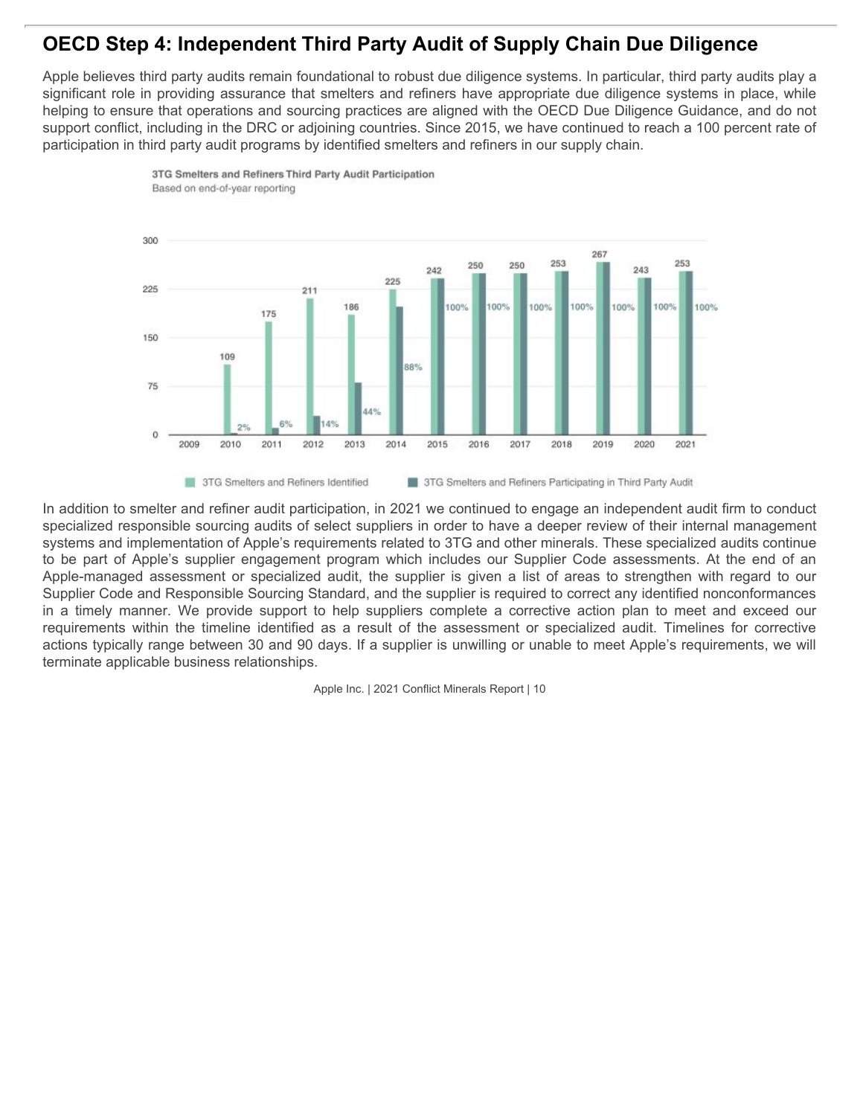## **OECD Step 4: Independent Third Party Audit of Supply Chain Due Diligence**

Apple believes third party audits remain foundational to robust due diligence systems. In particular, third party audits play a significant role in providing assurance that smelters and refiners have appropriate due diligence systems in place, while helping to ensure that operations and sourcing practices are aligned with the OECD Due Diligence Guidance, and do not support conflict, including in the DRC or adjoining countries. Since 2015, we have continued to reach a 100 percent rate of participation in third party audit programs by identified smelters and refiners in our supply chain.



In addition to smelter and refiner audit participation, in 2021 we continued to engage an independent audit firm to conduct specialized responsible sourcing audits of select suppliers in order to have a deeper review of their internal management systems and implementation of Apple's requirements related to 3TG and other minerals. These specialized audits continue Supplier Code and Responsible Sourcing Standard, and the supplier is required to correct any identified nonconformances actions typically range between 30 and 90 days. If a supplier is unwilling or unable to meet Apple's requirements, we will terminate applicable business relationships.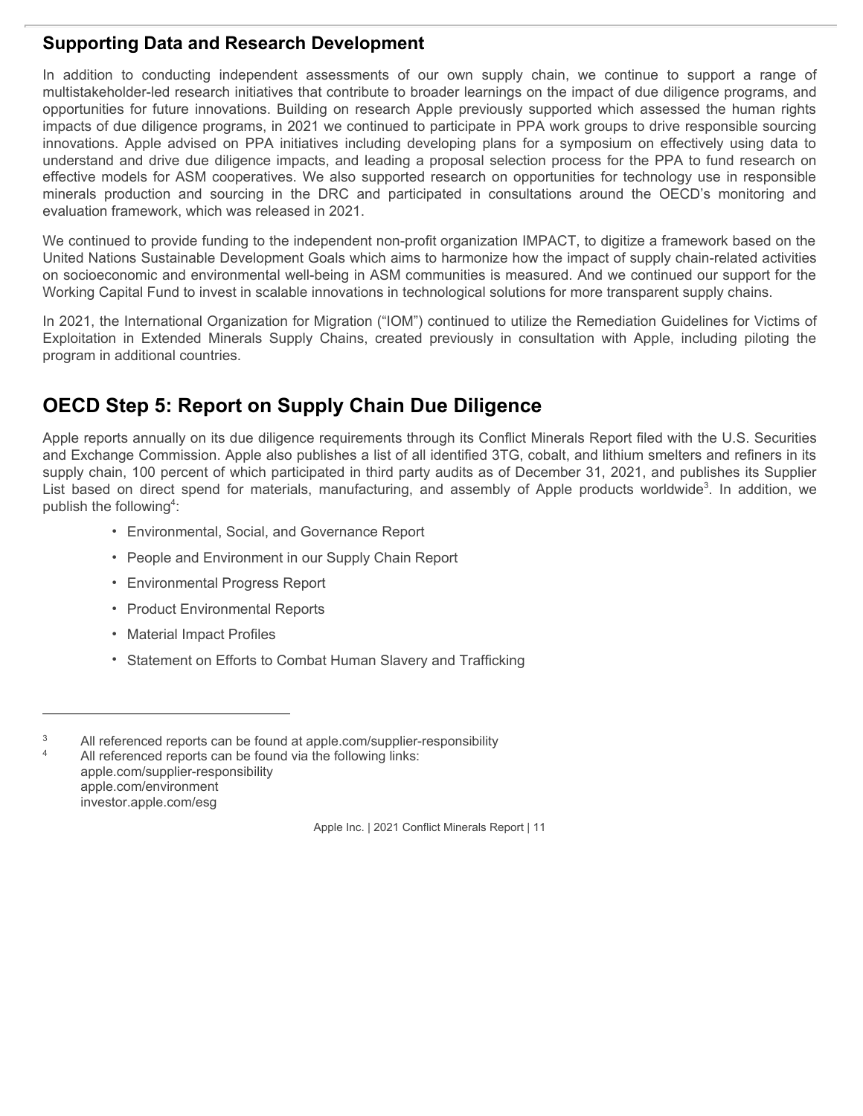### **Supporting Data and Research Development**

**Supporting Data and Research Development**<br>In addition to conducting independent assessments of our own supply chain, we continue to support a range of<br>multistakeholder-led research initiatives that contribute to broader l multistakeholder-led research initiatives that contribute to broader learnings on the impact of due diligence programs, and **Supporting Data and Research Development**<br>In addition to conducting independent assessments of our own supply chain, we continue to support a range of<br>multitstakeholder-led research initiatives that contribute to broader impacts of due diligence programs, in 2021 we continued to participate in PPA work groups to drive responsible sourcing **Supporting Data and Research Development**<br>In addition to conducting independent assessments of our own supply chain, we continue to support a range of<br>multiistakeholder-led research initiatives that contribute to broader understand and drive due diligence impacts, and leading a proposal selection process for the PPA to fund research on effective models for ASM cooperatives. We also supported research on opportunities for technology use in responsible **Supporting Data and Research Development**<br>In addition to conducting independent assessments of our own supply chain, we continue to support a range of<br>emultistakeholder-led research initiatives that contribute to broader evaluation framework, which was released in 2021. **Supporting Data and Research Development**<br>In addition to conducting independent assessments of our own supply chain, we continue to support a range of<br>multistakeholder-led research initiatives that contribute to broader l **Supporting Data and Research Development**<br>
In addition to conducting independent assessments of our own supply chain, we continue to support a range of<br>
multistate both conductions assessments of our own supply chain, we port a range of<br>the programs, and<br>the human rights<br>bonsible sourcing<br>ely using data to<br>fund research on<br>se in responsible<br>is monitoring and<br>ork based on the<br>related activities<br>ur support for the<br>oly chains.<br>nes for Victims

We continued to provide funding to the independent non-profit organization IMPACT, to digitize a framework based on the United Nations Sustainable Development Goals which aims to harmonize how the impact of supply chain-related activities on socioeconomic and environmental well-being in ASM communities is measured. And we continued our support for the Working Capital Fund to invest in scalable innovations in technological solutions for more transparent supply chains.

In 2021, the International Organization for Migration ("IOM") continued to utilize the Remediation Guidelines for Victims of program in additional countries.

# **OECD Step 5: Report on Supply Chain Due Diligence**

Apple reports annually on its due diligence requirements through its Conflict Minerals Report filed with the U.S. Securities and Exchange Commission. Apple also publishes a list of all identified 3TG, cobalt, and lithium smelters and refiners in its supply chain, 100 percent of which participated in third party audits as of December 31, 2021, and publishes its Supplier publish the following<sup>4</sup>: :

- Environmental, Social, and Governance Report
- People and Environment in our Supply Chain Report
- Environmental Progress Report
- Product Environmental Reports
- Material Impact Profiles
- Statement on Efforts to Combat Human Slavery and Trafficking

<sup>&</sup>lt;sup>3</sup> All referenced reports can be found at apple.com/supplier-responsibility All referenced reports can be found via the following links: apple.com/supplier-responsibility apple.com/environment investor.apple.com/esg

Apple Inc. | 2021 Conflict Minerals Report | 11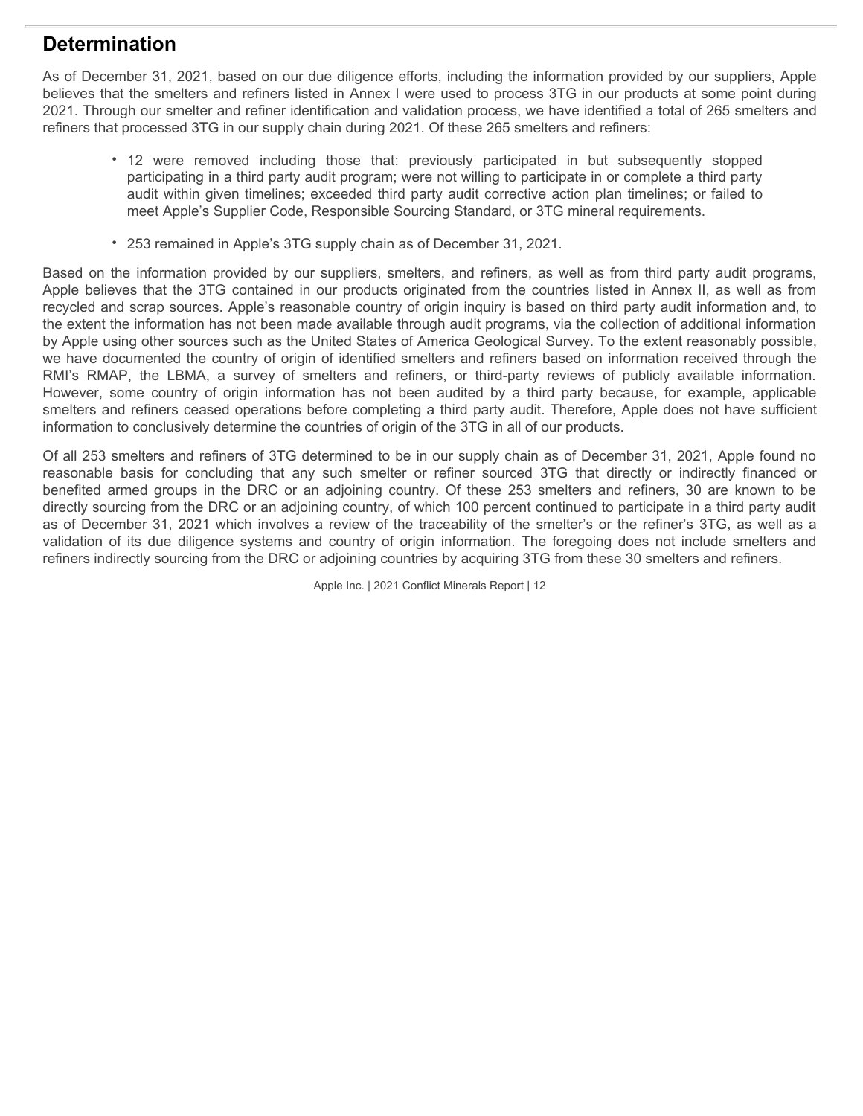## **Determination**

As of December 31, 2021, based on our due diligence efforts, including the information provided by our suppliers, Apple believes that the smelters and refiners listed in Annex I were used to process 3TG in our products at some point during 2021. Through our smelter and refiner identification and validation process, we have identified a total of 265 smelters and refiners that processed 3TG in our supply chain during 2021. Of these 265 smelters and refiners: **ination**<br>• 12 were removed including the information provided by our suppliers, Apple<br>• at the smelters and refiners listed in Annex I were used to process 3TG in our products at some point during<br>• ugh our smelter and re

- participating in a third party audit program; were not willing to participate in or complete a third party audit within given timelines; exceeded third party audit corrective action plan timelines; or failed to meet Apple's Supplier Code, Responsible Sourcing Standard, or 3TG mineral requirements.
- 253 remained in Apple's 3TG supply chain as of December 31, 2021.

Based on the information provided by our suppliers, smelters, and refiners, as well as from third party audit programs, Apple believes that the 3TG contained in our products originated from the countries listed in Annex II, as well as from recycled and scrap sources. Apple's reasonable country of origin inquiry is based on third party audit information and, to the extent the information has not been made available through audit programs, via the collection of additional information by Apple using other sources such as the United States of America Geological Survey. To the extent reasonably possible, we have documented the country of origin of identified smelters and refiners based on information received through the **Determination**<br>As of December 31, 2021, based on our due diligence efforts, including the information provided by our suppliers. Apple<br>believes that the smelters and refiners listed in Annex I were used to process 3TG in **Determination**<br>
As of December 31, 2021, based on our due diligence efforts, including the information provided by our suppliers. Apple<br>
believes that the smellers and refiners listed in Annex I were used to process, we h smelters and refiners ceased operations before completing a third party audit. Therefore, Apple does not have sufficient information to conclusively determine the countries of origin of the 3TG in all of our products. **Determination**<br>As of December 31, 2021, based on our due diligence efforts, including the information provided by our suppliers. Apple<br>Belleves that the smelters and refinere listed in Annexi were listed to process 3TG in **Determination**<br>As of December 31, 2021, based on our due diligence efforts, including the information provided by our suppliers. Apple<br>believes that the smelters and refiners listed in America, tween uses and concess 30 c **Determination**<br>As of December 31, 2021, based on our due diligence efforts, including the information provided by our suppliers, Apple<br>batilevale that the smelters and refines listed in Amnos I ware used to precess 3TG in

Of all 253 smelters and refiners of 3TG determined to be in our supply chain as of December 31, 2021, Apple found no directly sourcing from the DRC or an adjoining country, of which 100 percent continued to participate in a third party audit as of December 31, 2021 which involves a review of the traceability of the smelter's or the refiner's 3TG, as well as a refiners indirectly sourcing from the DRC or adjoining countries by acquiring 3TG from these 30 smelters and refiners.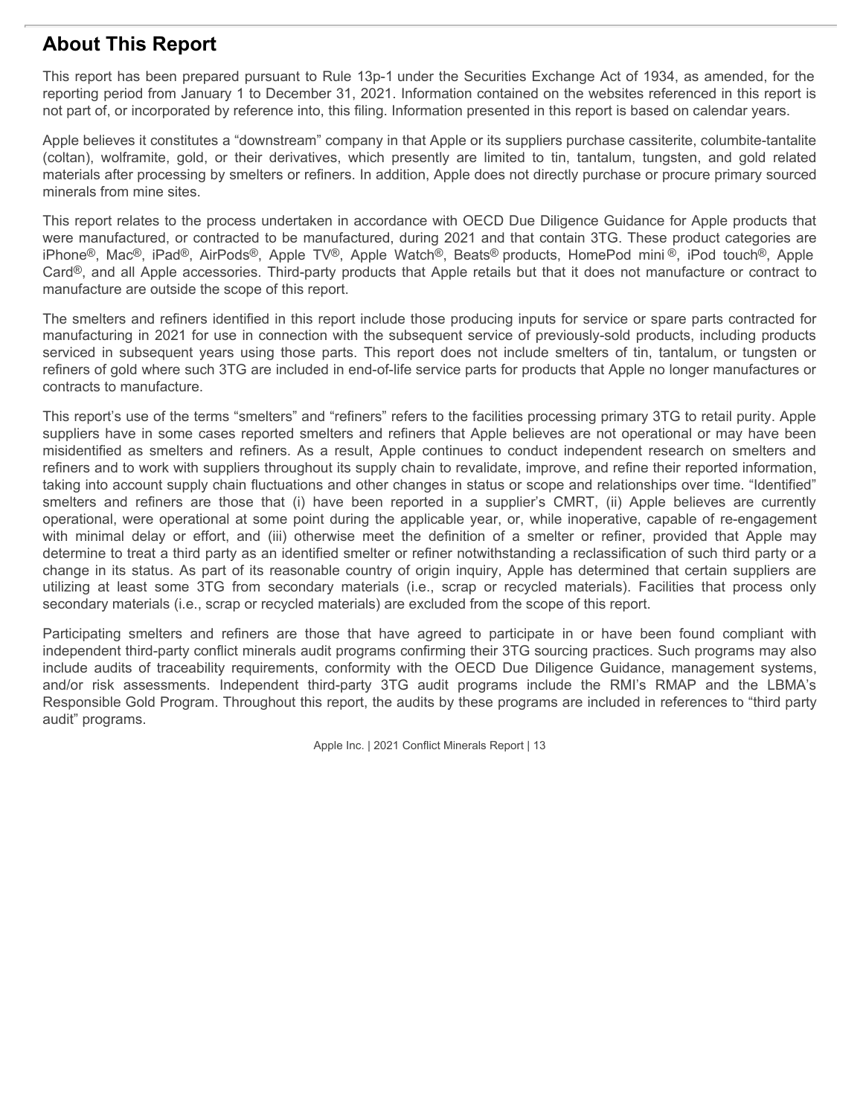## **About This Report**

This report has been prepared pursuant to Rule 13p-1 under the Securities Exchange Act of 1934, as amended, for the reporting period from January 1 to December 31, 2021. Information contained on the websites referenced in this report is not part of, or incorporated by reference into, this filing. Information presented in this report is based on calendar years.

Apple believes it constitutes a "downstream" company in that Apple or its suppliers purchase cassiterite, columbite-tantalite materials after processing by smelters or refiners. In addition, Apple does not directly purchase or procure primary sourced minerals from mine sites.

**About This Report**<br>This report has been prepared pursuant to Rule 13p-1 under the Securities Exchange Act of 1934, as amended, for the<br>reporting period from January 1 to December 31, 2021. Information contained on the web This report relates to the process undertaken in accordance with OECD Due Diligence Guidance for Apple products that were manufactured, or contracted to be manufactured, during 2021 and that contain 3TG. These product categories are **About This Report**<br>This report has been prepared pursuant to Rule 13p-1 under the Securities Exchange Act of 1934, as amended, for the<br>reporting period form January 1 to Decembe 31, 2021. Information constanted on the web Card<sup>®</sup>, and all Apple accessories. Third-party products that Apple retails but that it does not manufacture or contract to manufacture are outside the scope of this report.

The smelters and refiners identified in this report include those producing inputs for service or spare parts contracted for manufacturing in 2021 for use in connection with the subsequent service of previously-sold products, including products **About This Report**<br>This report has been prepared pursuant to Rule 13p-1 under the Securities Exchange Act of 1934, as amended, for the<br>reporting period from January 1 to December 31, 2021, Information presented in this re refiners of gold where such 3TG are included in end-of-life service parts for products that Apple no longer manufactures or contracts to manufacture.

This report's use of the terms "smelters" and "refiners" refers to the facilities processing primary 3TG to retail purity. Apple suppliers have in some cases reported smelters and refiners that Apple believes are not operational or may have been **About This Report**<br>This report has been prepared pursuant to Rule 13p-1 under the Securities Exchange Act of 1934, as amended, for the<br>reporting period from January 1 to December 31, 2021. Information contained on the web refiners and to work with suppliers throughout its supply chain to revalidate, improve, and refine their reported information, taking into account supply chain fluctuations and other changes in status or scope and relationships over time. "Identified" **About This Report**<br>This report has been prepared pursuant to Rule 13p-1 under the Securities Exchange Act of 1334, as amended, for the<br>reporting period from Jamaxy 1 to December 31, 2021. Information continers on the near operational, were operational at some point during the applicable year, or, while inoperative, capable of re-engagement **About This Report**<br>This moot has been prepared pursuant to Rule 13p-1 under the Securities Exchange Act of 1934, as amended, for the<br>respecting pend form Jamuary 1 to Desember 31, 2021; Information contained on the websit determine to treat a third party as an identified smelter or refiner notwithstanding a reclassification of such third party or a change in its status. As part of its reasonable country of origin inquiry, Apple has determined that certain suppliers are **ADOUT TITS Keep To the terms at the some some some solution of a method in this respect some some solution of the some solution of the some some 3T. 2013. Information certains controllate that is respect to the some some** secondary materials (i.e., scrap or recycled materials) are excluded from the scope of this report. reporting mend transmitting = in 2021, hithereness are the vesticles are the results are the complisions are the states are the states are the states are the states are the states are the states in constitute and reliable Apple be the treat of trace in the controller and the conformity in the Apple of trace pliers process costs in the conformite tand the conformities in the conformities in the conformities in the conformities in the conform Crist are of the term the sink assessments. As a result, Apple continue is the landing incomparisation in the Crist and the materials after processing by smelles or references in original process with original process in t

independent third-party conflict minerals audit programs confirming their 3TG sourcing practices. Such programs may also Responsible Gold Program. Throughout this report, the audits by these programs are included in references to "third party audit" programs.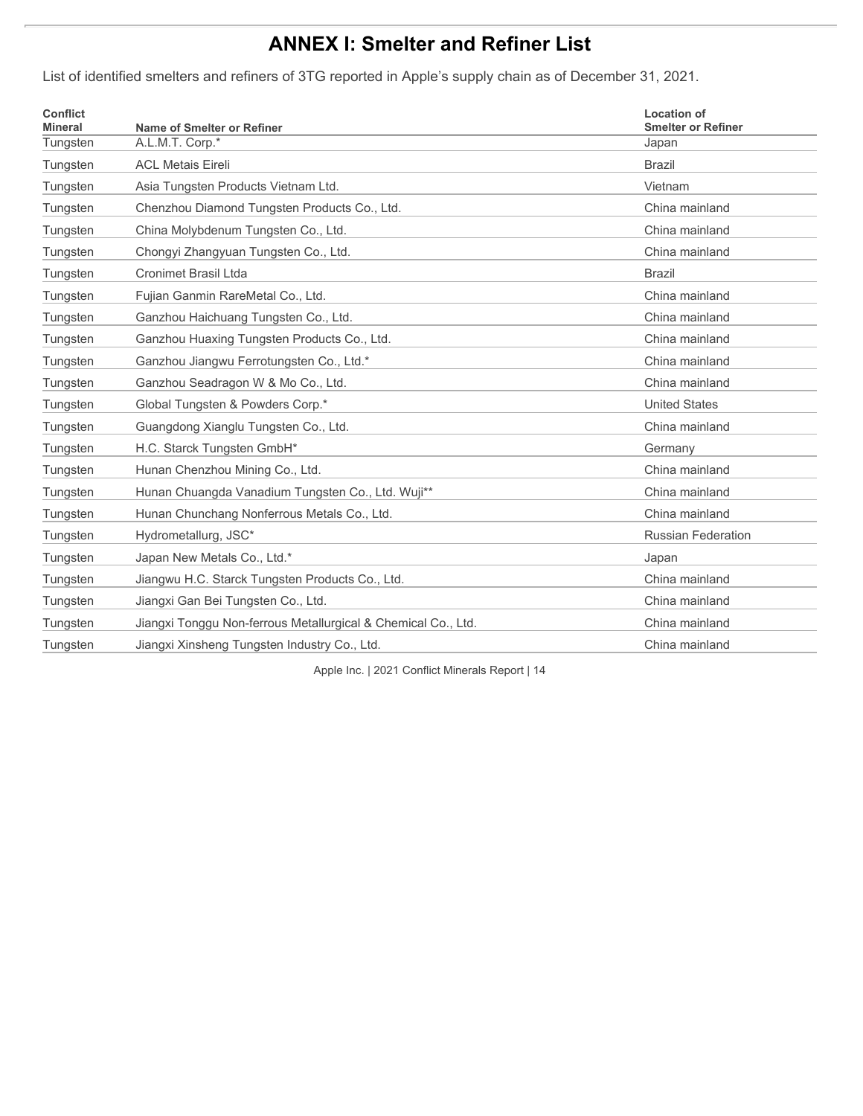# **ANNEX I: Smelter and Refiner List**

List of identified smelters and refiners of 3TG reported in Apple's supply chain as of December 31, 2021.

| <b>Conflict</b><br><b>Mineral</b> | Name of Smelter or Refiner                                    | <b>Location of</b><br><b>Smelter or Refiner</b> |
|-----------------------------------|---------------------------------------------------------------|-------------------------------------------------|
| Tungsten                          | A.L.M.T. Corp.*                                               | Japan                                           |
| Tungsten                          | <b>ACL Metais Eireli</b>                                      | <b>Brazil</b>                                   |
| Tungsten                          | Asia Tungsten Products Vietnam Ltd.                           | Vietnam                                         |
| Tungsten                          | Chenzhou Diamond Tungsten Products Co., Ltd.                  | China mainland                                  |
| Tungsten                          | China Molybdenum Tungsten Co., Ltd.                           | China mainland                                  |
| Tungsten                          | Chongyi Zhangyuan Tungsten Co., Ltd.                          | China mainland                                  |
| Tungsten                          | <b>Cronimet Brasil Ltda</b>                                   | <b>Brazil</b>                                   |
| Tungsten                          | Fujian Ganmin RareMetal Co., Ltd.                             | China mainland                                  |
| Tungsten                          | Ganzhou Haichuang Tungsten Co., Ltd.                          | China mainland                                  |
| Tungsten                          | Ganzhou Huaxing Tungsten Products Co., Ltd.                   | China mainland                                  |
| Tungsten                          | Ganzhou Jiangwu Ferrotungsten Co., Ltd.*                      | China mainland                                  |
| Tungsten                          | Ganzhou Seadragon W & Mo Co., Ltd.                            | China mainland                                  |
| Tungsten                          | Global Tungsten & Powders Corp.*                              | <b>United States</b>                            |
| Tungsten                          | Guangdong Xianglu Tungsten Co., Ltd.                          | China mainland                                  |
| Tungsten                          | H.C. Starck Tungsten GmbH*                                    | Germany                                         |
| Tungsten                          | Hunan Chenzhou Mining Co., Ltd.                               | China mainland                                  |
| Tungsten                          | Hunan Chuangda Vanadium Tungsten Co., Ltd. Wuji**             | China mainland                                  |
| Tungsten                          | Hunan Chunchang Nonferrous Metals Co., Ltd.                   | China mainland                                  |
| Tungsten                          | Hydrometallurg, JSC*                                          | <b>Russian Federation</b>                       |
| Tungsten                          | Japan New Metals Co., Ltd.*                                   | Japan                                           |
| Tungsten                          | Jiangwu H.C. Starck Tungsten Products Co., Ltd.               | China mainland                                  |
| Tungsten                          | Jiangxi Gan Bei Tungsten Co., Ltd.                            | China mainland                                  |
| Tungsten                          | Jiangxi Tonggu Non-ferrous Metallurgical & Chemical Co., Ltd. | China mainland                                  |
| Tungsten                          | Jiangxi Xinsheng Tungsten Industry Co., Ltd.                  | China mainland                                  |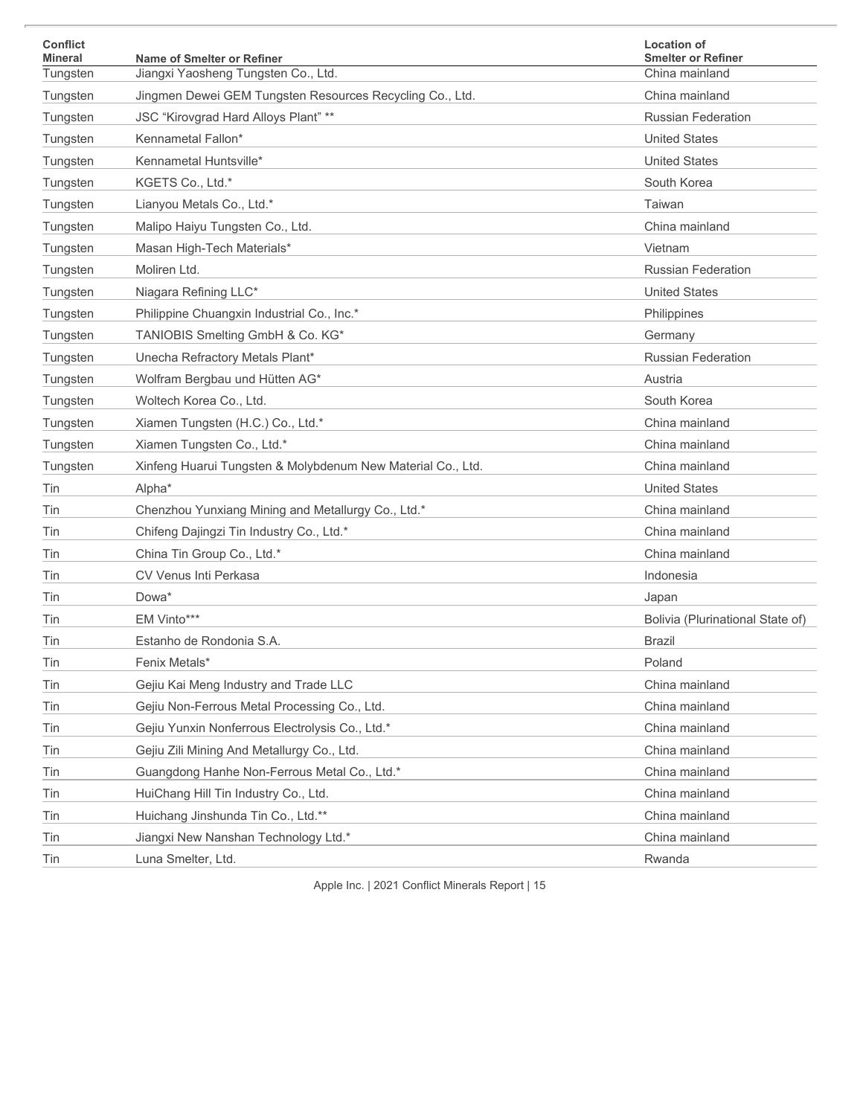| <b>Conflict</b><br>Mineral | Name of Smelter or Refiner                                  | <b>Location of</b><br><b>Smelter or Refiner</b> |
|----------------------------|-------------------------------------------------------------|-------------------------------------------------|
| Tungsten                   | Jiangxi Yaosheng Tungsten Co., Ltd.                         | China mainland                                  |
| Tungsten                   | Jingmen Dewei GEM Tungsten Resources Recycling Co., Ltd.    | China mainland                                  |
| Tungsten                   | JSC "Kirovgrad Hard Alloys Plant" **                        | <b>Russian Federation</b>                       |
| Tungsten                   | Kennametal Fallon*                                          | <b>United States</b>                            |
| Tungsten                   | Kennametal Huntsville*                                      | <b>United States</b>                            |
| Tungsten                   | KGETS Co., Ltd.*                                            | South Korea                                     |
| Tungsten                   | Lianyou Metals Co., Ltd.*                                   | Taiwan                                          |
| Tungsten                   | Malipo Haiyu Tungsten Co., Ltd.                             | China mainland                                  |
| Tungsten                   | Masan High-Tech Materials*                                  | Vietnam                                         |
| Tungsten                   | Moliren Ltd.                                                | <b>Russian Federation</b>                       |
| Tungsten                   | Niagara Refining LLC*                                       | <b>United States</b>                            |
| Tungsten                   | Philippine Chuangxin Industrial Co., Inc.*                  | Philippines                                     |
| Tungsten                   | TANIOBIS Smelting GmbH & Co. KG*                            | Germany                                         |
| Tungsten                   | Unecha Refractory Metals Plant*                             | <b>Russian Federation</b>                       |
| Tungsten                   | Wolfram Bergbau und Hütten AG*                              | Austria                                         |
| Tungsten                   | Woltech Korea Co., Ltd.                                     | South Korea                                     |
| Tungsten                   | Xiamen Tungsten (H.C.) Co., Ltd.*                           | China mainland                                  |
| Tungsten                   | Xiamen Tungsten Co., Ltd.*                                  | China mainland                                  |
| Tungsten                   | Xinfeng Huarui Tungsten & Molybdenum New Material Co., Ltd. | China mainland                                  |
| Tin                        | Alpha*                                                      | <b>United States</b>                            |
| Tin                        | Chenzhou Yunxiang Mining and Metallurgy Co., Ltd.*          | China mainland                                  |
| Tin                        | Chifeng Dajingzi Tin Industry Co., Ltd.*                    | China mainland                                  |
| Tin                        | China Tin Group Co., Ltd.*                                  | China mainland                                  |
| Tin                        | CV Venus Inti Perkasa                                       | Indonesia                                       |
| Tin                        | Dowa*                                                       | Japan                                           |
| Tin                        | EM Vinto***                                                 | Bolivia (Plurinational State of)                |
| Tin                        | Estanho de Rondonia S.A.                                    | <b>Brazil</b>                                   |
| Tin                        | Fenix Metals*                                               | Poland                                          |
| Tin                        | Gejiu Kai Meng Industry and Trade LLC                       | China mainland                                  |
| Tin                        | Gejiu Non-Ferrous Metal Processing Co., Ltd.                | China mainland                                  |
| Tin                        | Gejiu Yunxin Nonferrous Electrolysis Co., Ltd.*             | China mainland                                  |
| Tin                        | Gejiu Zili Mining And Metallurgy Co., Ltd.                  | China mainland                                  |
| Tin                        | Guangdong Hanhe Non-Ferrous Metal Co., Ltd.*                | China mainland                                  |
| Tin                        | HuiChang Hill Tin Industry Co., Ltd.                        | China mainland                                  |
| Tin                        | Huichang Jinshunda Tin Co., Ltd.**                          | China mainland                                  |
| Tin                        | Jiangxi New Nanshan Technology Ltd.*                        | China mainland                                  |
| Tin                        | Luna Smelter, Ltd.                                          | Rwanda                                          |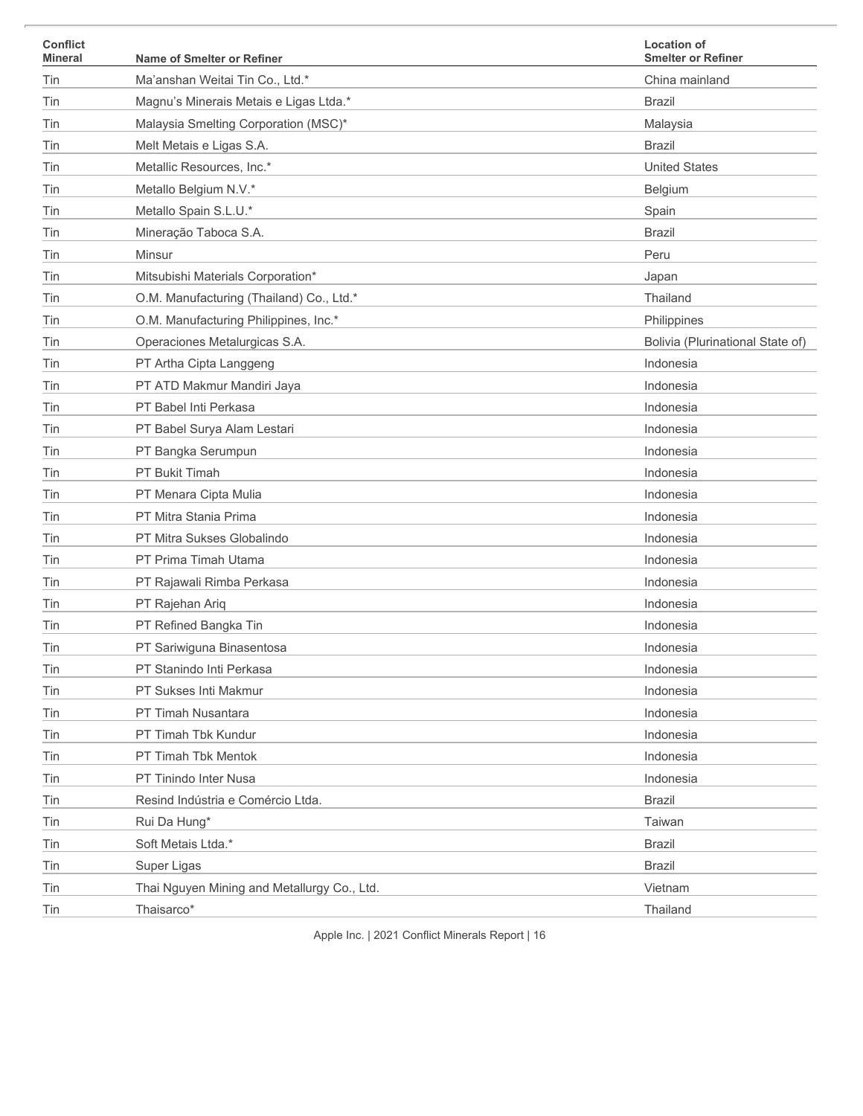| <b>Conflict</b><br><b>Mineral</b> | Name of Smelter or Refiner                  | <b>Location of</b><br><b>Smelter or Refiner</b> |
|-----------------------------------|---------------------------------------------|-------------------------------------------------|
| Tin                               | Ma'anshan Weitai Tin Co., Ltd.*             | China mainland                                  |
| Tin                               | Magnu's Minerais Metais e Ligas Ltda.*      | <b>Brazil</b>                                   |
| Tin                               | Malaysia Smelting Corporation (MSC)*        | Malaysia                                        |
| Tin                               | Melt Metais e Ligas S.A.                    | <b>Brazil</b>                                   |
| Tin                               | Metallic Resources, Inc.*                   | <b>United States</b>                            |
| Tin                               | Metallo Belgium N.V.*                       | Belgium                                         |
| Tin                               | Metallo Spain S.L.U.*                       | Spain                                           |
| Tin                               | Mineração Taboca S.A.                       | <b>Brazil</b>                                   |
| Tin                               | Minsur                                      | Peru                                            |
| Tin                               | Mitsubishi Materials Corporation*           | Japan                                           |
| Tin                               | O.M. Manufacturing (Thailand) Co., Ltd.*    | Thailand                                        |
| Tin                               | O.M. Manufacturing Philippines, Inc.*       | Philippines                                     |
| Tin                               | Operaciones Metalurgicas S.A.               | Bolivia (Plurinational State of)                |
| Tin                               | PT Artha Cipta Langgeng                     | Indonesia                                       |
| Tin                               | PT ATD Makmur Mandiri Jaya                  | Indonesia                                       |
| Tin                               | PT Babel Inti Perkasa                       | Indonesia                                       |
| Tin                               | PT Babel Surya Alam Lestari                 | Indonesia                                       |
| Tin                               | PT Bangka Serumpun                          | Indonesia                                       |
| Tin                               | PT Bukit Timah                              | Indonesia                                       |
| Tin                               | PT Menara Cipta Mulia                       | Indonesia                                       |
| Tin                               | PT Mitra Stania Prima                       | Indonesia                                       |
| Tin                               | PT Mitra Sukses Globalindo                  | Indonesia                                       |
| Tin                               | PT Prima Timah Utama                        | Indonesia                                       |
| Tin                               | PT Rajawali Rimba Perkasa                   | Indonesia                                       |
| Tin                               | PT Rajehan Ariq                             | Indonesia                                       |
| Tin                               | PT Refined Bangka Tin                       | Indonesia                                       |
| Tin                               | PT Sariwiguna Binasentosa                   | Indonesia                                       |
| Tin                               | PT Stanindo Inti Perkasa                    | Indonesia                                       |
| Tin                               | PT Sukses Inti Makmur                       | Indonesia                                       |
| Tin                               | PT Timah Nusantara                          | Indonesia                                       |
| Tin                               | PT Timah Tbk Kundur                         | Indonesia                                       |
| Tin                               | PT Timah Tbk Mentok                         | Indonesia                                       |
| Tin                               | PT Tinindo Inter Nusa                       | Indonesia                                       |
| Tin                               | Resind Indústria e Comércio Ltda.           | <b>Brazil</b>                                   |
| Tin                               | Rui Da Hung*                                | Taiwan                                          |
| Tin                               | Soft Metais Ltda.*                          | <b>Brazil</b>                                   |
| Tin                               | Super Ligas                                 | <b>Brazil</b>                                   |
| Tin                               | Thai Nguyen Mining and Metallurgy Co., Ltd. | Vietnam                                         |
| Tin                               | Thaisarco*                                  | Thailand                                        |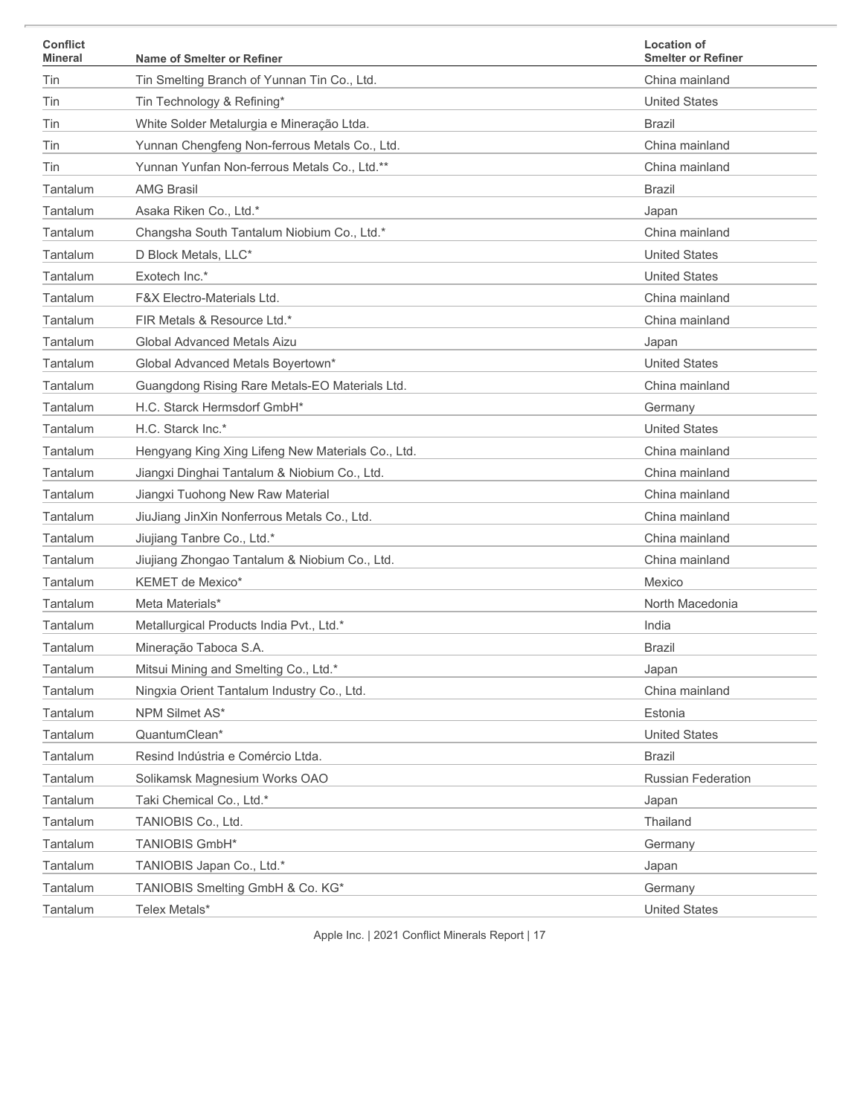| <b>Conflict</b><br><b>Mineral</b> | Name of Smelter or Refiner                        | <b>Location of</b><br><b>Smelter or Refiner</b> |
|-----------------------------------|---------------------------------------------------|-------------------------------------------------|
| Tin                               | Tin Smelting Branch of Yunnan Tin Co., Ltd.       | China mainland                                  |
| Tin                               | Tin Technology & Refining*                        | <b>United States</b>                            |
| Tin                               | White Solder Metalurgia e Mineração Ltda.         | <b>Brazil</b>                                   |
| Tin                               | Yunnan Chengfeng Non-ferrous Metals Co., Ltd.     | China mainland                                  |
| Tin                               | Yunnan Yunfan Non-ferrous Metals Co., Ltd.**      | China mainland                                  |
| Tantalum                          | <b>AMG Brasil</b>                                 | <b>Brazil</b>                                   |
| Tantalum                          | Asaka Riken Co., Ltd.*                            | Japan                                           |
| Tantalum                          | Changsha South Tantalum Niobium Co., Ltd.*        | China mainland                                  |
| Tantalum                          | D Block Metals, LLC*                              | <b>United States</b>                            |
| Tantalum                          | Exotech Inc.*                                     | <b>United States</b>                            |
| Tantalum                          | <b>F&amp;X Electro-Materials Ltd.</b>             | China mainland                                  |
| Tantalum                          | FIR Metals & Resource Ltd.*                       | China mainland                                  |
| Tantalum                          | Global Advanced Metals Aizu                       | Japan                                           |
| Tantalum                          | Global Advanced Metals Boyertown*                 | <b>United States</b>                            |
| Tantalum                          | Guangdong Rising Rare Metals-EO Materials Ltd.    | China mainland                                  |
| Tantalum                          | H.C. Starck Hermsdorf GmbH*                       | Germany                                         |
| Tantalum                          | H.C. Starck Inc.*                                 | <b>United States</b>                            |
| Tantalum                          | Hengyang King Xing Lifeng New Materials Co., Ltd. | China mainland                                  |
| Tantalum                          | Jiangxi Dinghai Tantalum & Niobium Co., Ltd.      | China mainland                                  |
| Tantalum                          | Jiangxi Tuohong New Raw Material                  | China mainland                                  |
| Tantalum                          | JiuJiang JinXin Nonferrous Metals Co., Ltd.       | China mainland                                  |
| Tantalum                          | Jiujiang Tanbre Co., Ltd.*                        | China mainland                                  |
| Tantalum                          | Jiujiang Zhongao Tantalum & Niobium Co., Ltd.     | China mainland                                  |
| Tantalum                          | KEMET de Mexico*                                  | Mexico                                          |
| Tantalum                          | Meta Materials*                                   | North Macedonia                                 |
| Tantalum                          | Metallurgical Products India Pvt., Ltd.*          | India                                           |
| Tantalum                          | Mineração Taboca S.A.                             | <b>Brazil</b>                                   |
| Tantalum                          | Mitsui Mining and Smelting Co., Ltd.*             | Japan                                           |
| Tantalum                          | Ningxia Orient Tantalum Industry Co., Ltd.        | China mainland                                  |
| Tantalum                          | NPM Silmet AS*                                    | Estonia                                         |
| Tantalum                          | QuantumClean*                                     | <b>United States</b>                            |
| Tantalum                          | Resind Indústria e Comércio Ltda.                 | <b>Brazil</b>                                   |
| Tantalum                          | Solikamsk Magnesium Works OAO                     | Russian Federation                              |
| Tantalum                          | Taki Chemical Co., Ltd.*                          | Japan                                           |
| Tantalum                          | TANIOBIS Co., Ltd.                                | Thailand                                        |
| Tantalum                          | TANIOBIS GmbH*                                    | Germany                                         |
| Tantalum                          | TANIOBIS Japan Co., Ltd.*                         | Japan                                           |
| Tantalum                          | TANIOBIS Smelting GmbH & Co. KG*                  | Germany                                         |
| Tantalum                          | Telex Metals*                                     | <b>United States</b>                            |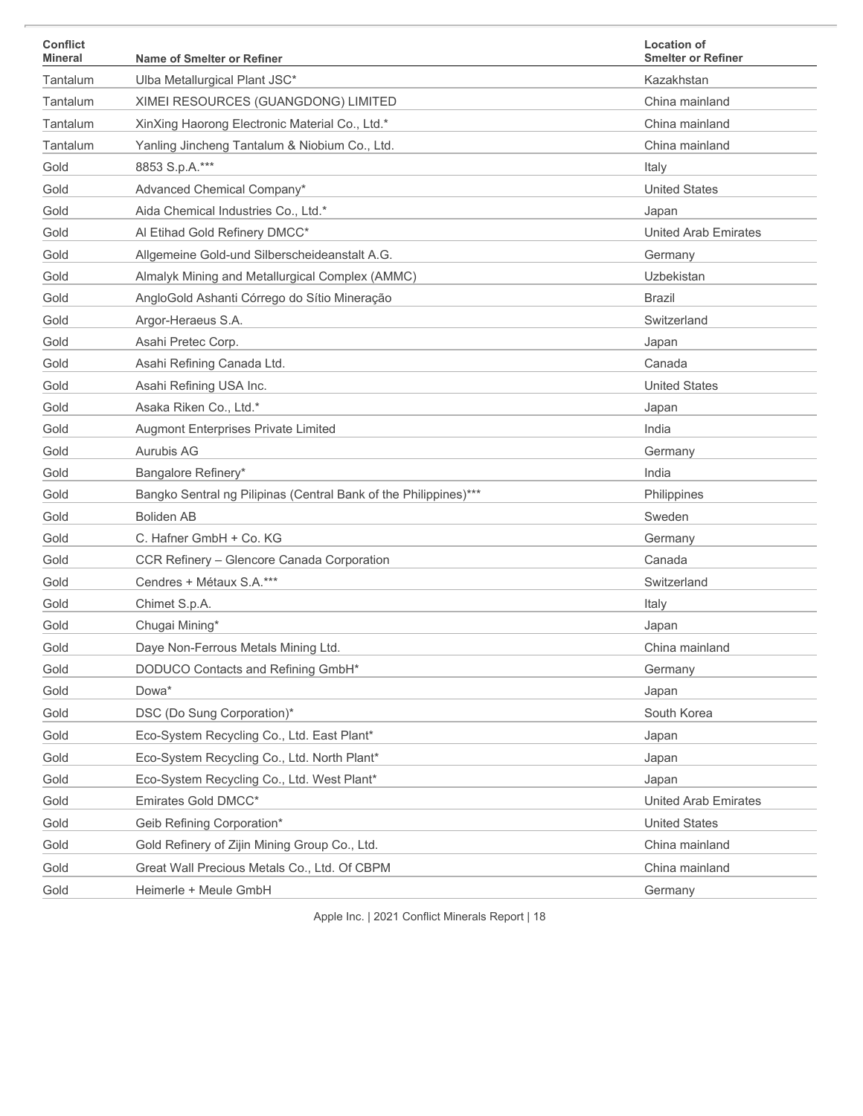| <b>Conflict</b><br><b>Mineral</b> | Name of Smelter or Refiner                                       | <b>Location of</b><br><b>Smelter or Refiner</b> |
|-----------------------------------|------------------------------------------------------------------|-------------------------------------------------|
| Tantalum                          | Ulba Metallurgical Plant JSC*                                    | Kazakhstan                                      |
| Tantalum                          | XIMEI RESOURCES (GUANGDONG) LIMITED                              | China mainland                                  |
| Tantalum                          | XinXing Haorong Electronic Material Co., Ltd.*                   | China mainland                                  |
| Tantalum                          | Yanling Jincheng Tantalum & Niobium Co., Ltd.                    | China mainland                                  |
| Gold                              | 8853 S.p.A.***                                                   | Italy                                           |
| Gold                              | Advanced Chemical Company*                                       | <b>United States</b>                            |
| Gold                              | Aida Chemical Industries Co., Ltd.*                              | Japan                                           |
| Gold                              | Al Etihad Gold Refinery DMCC*                                    | <b>United Arab Emirates</b>                     |
| Gold                              | Allgemeine Gold-und Silberscheideanstalt A.G.                    | Germany                                         |
| Gold                              | Almalyk Mining and Metallurgical Complex (AMMC)                  | Uzbekistan                                      |
| Gold                              | AngloGold Ashanti Córrego do Sítio Mineração                     | <b>Brazil</b>                                   |
| Gold                              | Argor-Heraeus S.A.                                               | Switzerland                                     |
| Gold                              | Asahi Pretec Corp.                                               | Japan                                           |
| Gold                              | Asahi Refining Canada Ltd.                                       | Canada                                          |
| Gold                              | Asahi Refining USA Inc.                                          | <b>United States</b>                            |
| Gold                              | Asaka Riken Co., Ltd.*                                           | Japan                                           |
| Gold                              | Augmont Enterprises Private Limited                              | India                                           |
| Gold                              | Aurubis AG                                                       | Germany                                         |
| Gold                              | Bangalore Refinery*                                              | India                                           |
| Gold                              | Bangko Sentral ng Pilipinas (Central Bank of the Philippines)*** | Philippines                                     |
| Gold                              | <b>Boliden AB</b>                                                | Sweden                                          |
| Gold                              | C. Hafner GmbH + Co. KG                                          | Germany                                         |
| Gold                              | CCR Refinery - Glencore Canada Corporation                       | Canada                                          |
| Gold                              | Cendres + Métaux S.A.***                                         | Switzerland                                     |
| Gold                              | Chimet S.p.A.                                                    | Italy                                           |
| Gold                              | Chugai Mining*                                                   | Japan                                           |
| Gold                              | Daye Non-Ferrous Metals Mining Ltd.                              | China mainland                                  |
| Gold                              | DODUCO Contacts and Refining GmbH*                               | Germany                                         |
| Gold                              | Dowa*                                                            | Japan                                           |
| Gold                              | DSC (Do Sung Corporation)*                                       | South Korea                                     |
| Gold                              | Eco-System Recycling Co., Ltd. East Plant*                       | Japan                                           |
| Gold                              | Eco-System Recycling Co., Ltd. North Plant*                      | Japan                                           |
| Gold                              | Eco-System Recycling Co., Ltd. West Plant*                       | Japan                                           |
| Gold                              | Emirates Gold DMCC*                                              | <b>United Arab Emirates</b>                     |
| Gold                              | Geib Refining Corporation*                                       | <b>United States</b>                            |
| Gold                              | Gold Refinery of Zijin Mining Group Co., Ltd.                    | China mainland                                  |
| Gold                              | Great Wall Precious Metals Co., Ltd. Of CBPM                     | China mainland                                  |
| Gold                              | Heimerle + Meule GmbH                                            | Germany                                         |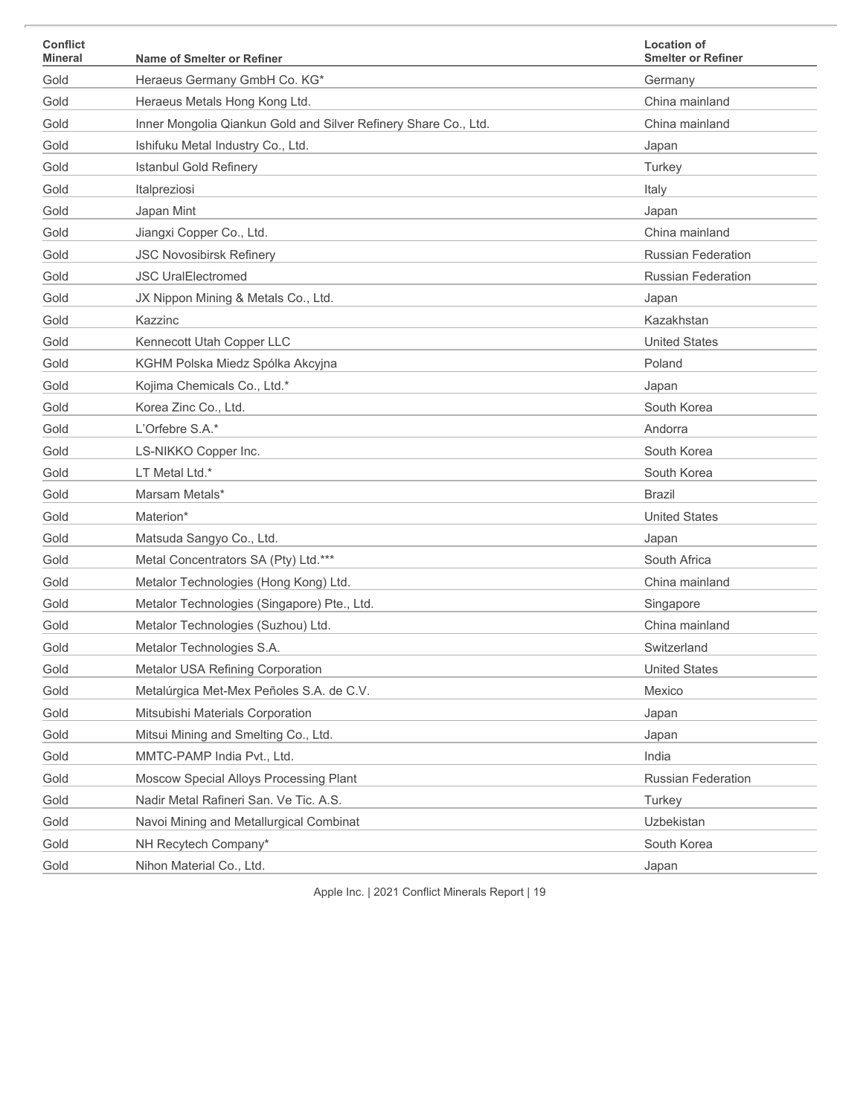| <b>Conflict</b><br><b>Mineral</b> | Name of Smelter or Refiner                                      | <b>Location of</b><br><b>Smelter or Refiner</b> |
|-----------------------------------|-----------------------------------------------------------------|-------------------------------------------------|
| Gold                              | Heraeus Germany GmbH Co. KG*                                    | Germany                                         |
| Gold                              | Heraeus Metals Hong Kong Ltd.                                   | China mainland                                  |
| Gold                              | Inner Mongolia Qiankun Gold and Silver Refinery Share Co., Ltd. | China mainland                                  |
| Gold                              | Ishifuku Metal Industry Co., Ltd.                               | Japan                                           |
| Gold                              | <b>Istanbul Gold Refinery</b>                                   | Turkey                                          |
| Gold                              | Italpreziosi                                                    | Italy                                           |
| Gold                              | Japan Mint                                                      | Japan                                           |
| Gold                              | Jiangxi Copper Co., Ltd.                                        | China mainland                                  |
| Gold                              | <b>JSC Novosibirsk Refinery</b>                                 | <b>Russian Federation</b>                       |
| Gold                              | <b>JSC UralElectromed</b>                                       | <b>Russian Federation</b>                       |
| Gold                              | JX Nippon Mining & Metals Co., Ltd.                             | Japan                                           |
| Gold                              | Kazzinc                                                         | Kazakhstan                                      |
| Gold                              | Kennecott Utah Copper LLC                                       | <b>United States</b>                            |
| Gold                              | KGHM Polska Miedz Spólka Akcyjna                                | Poland                                          |
| Gold                              | Kojima Chemicals Co., Ltd.*                                     | Japan                                           |
| Gold                              | Korea Zinc Co., Ltd.                                            | South Korea                                     |
| Gold                              | L'Orfebre S.A.*                                                 | Andorra                                         |
| Gold                              | LS-NIKKO Copper Inc.                                            | South Korea                                     |
| Gold                              | LT Metal Ltd.*                                                  | South Korea                                     |
| Gold                              | Marsam Metals*                                                  | <b>Brazil</b>                                   |
| Gold                              | Materion*                                                       | <b>United States</b>                            |
| Gold                              | Matsuda Sangyo Co., Ltd.                                        | Japan                                           |
| Gold                              | Metal Concentrators SA (Pty) Ltd.***                            | South Africa                                    |
| Gold                              | Metalor Technologies (Hong Kong) Ltd.                           | China mainland                                  |
| Gold                              | Metalor Technologies (Singapore) Pte., Ltd.                     | Singapore                                       |
| Gold                              | Metalor Technologies (Suzhou) Ltd.                              | China mainland                                  |
| Gold                              | Metalor Technologies S.A.                                       | Switzerland                                     |
| Gold                              | Metalor USA Refining Corporation                                | <b>United States</b>                            |
| Gold                              | Metalúrgica Met-Mex Peñoles S.A. de C.V.                        | Mexico                                          |
| Gold                              | Mitsubishi Materials Corporation                                | Japan                                           |
| Gold                              | Mitsui Mining and Smelting Co., Ltd.                            | Japan                                           |
| Gold                              | MMTC-PAMP India Pvt., Ltd.                                      | India                                           |
| Gold                              | Moscow Special Alloys Processing Plant                          | Russian Federation                              |
| Gold                              | Nadir Metal Rafineri San. Ve Tic. A.S.                          | Turkey                                          |
| Gold                              | Navoi Mining and Metallurgical Combinat                         | Uzbekistan                                      |
| Gold                              | NH Recytech Company*                                            | South Korea                                     |
| Gold                              | Nihon Material Co., Ltd.                                        | Japan                                           |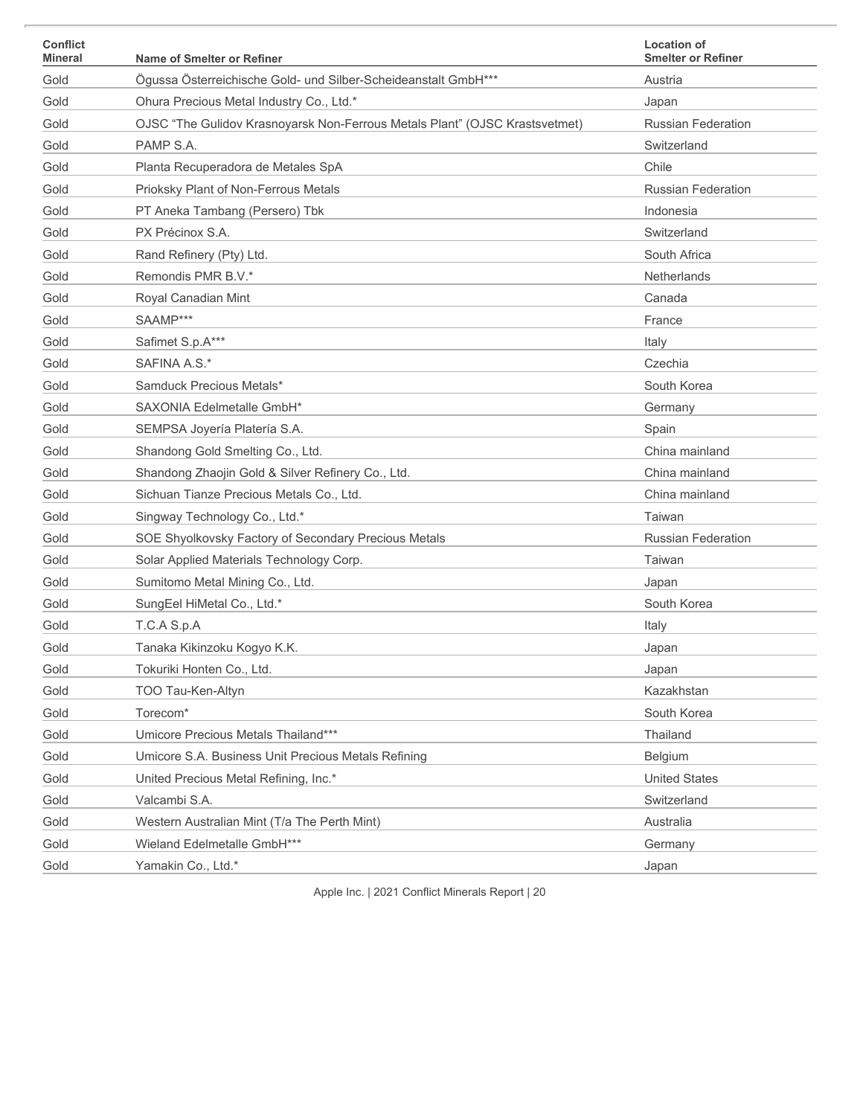| <b>Conflict</b><br><b>Mineral</b> | Name of Smelter or Refiner                                                  | <b>Location of</b><br><b>Smelter or Refiner</b> |
|-----------------------------------|-----------------------------------------------------------------------------|-------------------------------------------------|
| Gold                              | Ögussa Österreichische Gold- und Silber-Scheideanstalt GmbH***              | Austria                                         |
| Gold                              | Ohura Precious Metal Industry Co., Ltd.*                                    | Japan                                           |
| Gold                              | OJSC "The Gulidov Krasnoyarsk Non-Ferrous Metals Plant" (OJSC Krastsvetmet) | Russian Federation                              |
| Gold                              | PAMP S.A.                                                                   | Switzerland                                     |
| Gold                              | Planta Recuperadora de Metales SpA                                          | Chile                                           |
| Gold                              | Prioksky Plant of Non-Ferrous Metals                                        | Russian Federation                              |
| Gold                              | PT Aneka Tambang (Persero) Tbk                                              | Indonesia                                       |
| Gold                              | PX Précinox S.A.                                                            | Switzerland                                     |
| Gold                              | Rand Refinery (Pty) Ltd.                                                    | South Africa                                    |
| Gold                              | Remondis PMR B.V.*                                                          | Netherlands                                     |
| Gold                              | Royal Canadian Mint                                                         | Canada                                          |
| Gold                              | SAAMP***                                                                    | France                                          |
| Gold                              | Safimet S.p.A***                                                            | Italy                                           |
| Gold                              | SAFINA A.S.*                                                                | Czechia                                         |
| Gold                              | Samduck Precious Metals*                                                    | South Korea                                     |
| Gold                              | SAXONIA Edelmetalle GmbH*                                                   | Germany                                         |
| Gold                              | SEMPSA Joyería Platería S.A.                                                | Spain                                           |
| Gold                              | Shandong Gold Smelting Co., Ltd.                                            | China mainland                                  |
| Gold                              | Shandong Zhaojin Gold & Silver Refinery Co., Ltd.                           | China mainland                                  |
| Gold                              | Sichuan Tianze Precious Metals Co., Ltd.                                    | China mainland                                  |
| Gold                              | Singway Technology Co., Ltd.*                                               | Taiwan                                          |
| Gold                              | SOE Shyolkovsky Factory of Secondary Precious Metals                        | <b>Russian Federation</b>                       |
| Gold                              | Solar Applied Materials Technology Corp.                                    | Taiwan                                          |
| Gold                              | Sumitomo Metal Mining Co., Ltd.                                             | Japan                                           |
| Gold                              | SungEel HiMetal Co., Ltd.*                                                  | South Korea                                     |
| Gold                              | T.C.A S.p.A                                                                 | Italy                                           |
| Gold                              | Tanaka Kikinzoku Kogyo K.K.                                                 | Japan                                           |
| Gold                              | Tokuriki Honten Co., Ltd.                                                   | Japan                                           |
| Gold                              | TOO Tau-Ken-Altyn                                                           | Kazakhstan                                      |
| Gold                              | Torecom*                                                                    | South Korea                                     |
| Gold                              | Umicore Precious Metals Thailand***                                         | Thailand                                        |
| Gold                              | Umicore S.A. Business Unit Precious Metals Refining                         | Belgium                                         |
| Gold                              | United Precious Metal Refining, Inc.*                                       | <b>United States</b>                            |
| Gold                              | Valcambi S.A.                                                               | Switzerland                                     |
| Gold                              | Western Australian Mint (T/a The Perth Mint)                                | Australia                                       |
| Gold                              | Wieland Edelmetalle GmbH***                                                 | Germany                                         |
| Gold                              | Yamakin Co., Ltd.*                                                          | Japan                                           |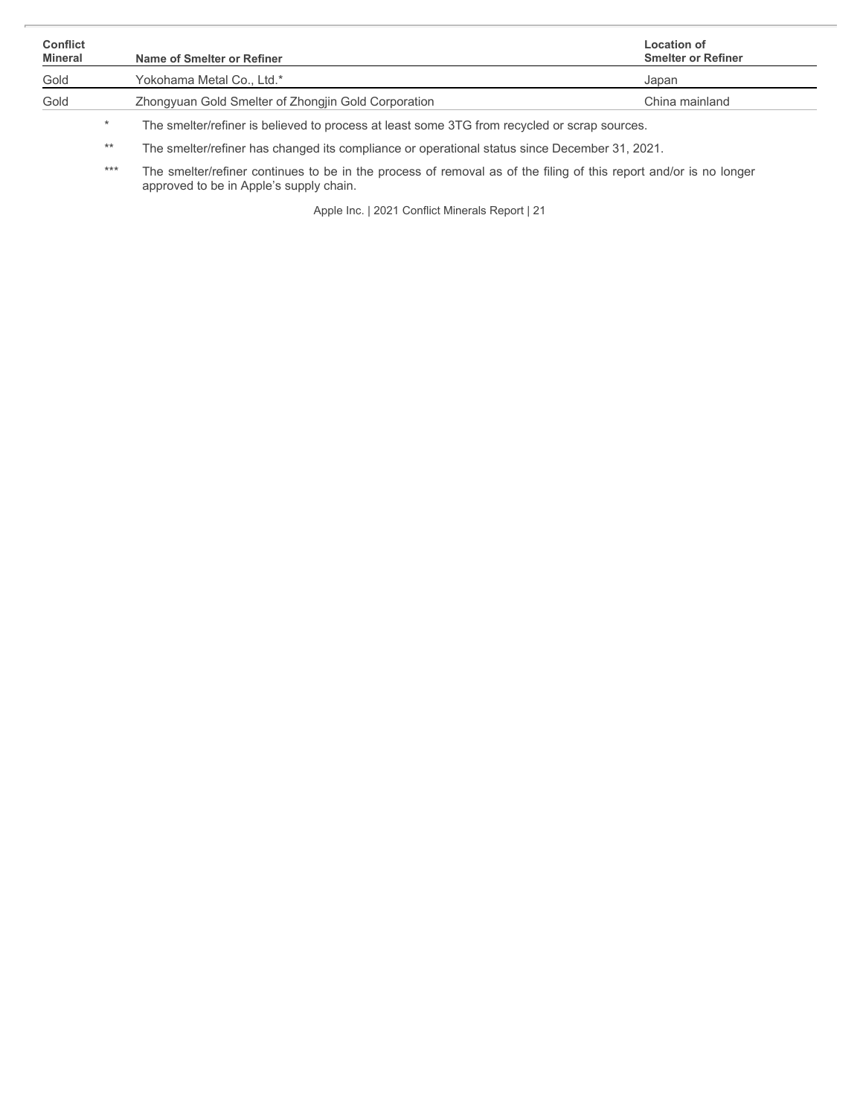| <b>Conflict</b><br>Mineral |         | Name of Smelter or Refiner                                                                   | <b>Location of</b><br><b>Smelter or Refiner</b> |
|----------------------------|---------|----------------------------------------------------------------------------------------------|-------------------------------------------------|
| Gold                       |         | Yokohama Metal Co., Ltd.*                                                                    | Japan                                           |
| Gold                       |         | Zhongyuan Gold Smelter of Zhongjin Gold Corporation                                          | China mainland                                  |
|                            |         | The smelter/refiner is believed to process at least some 3TG from recycled or scrap sources. |                                                 |
|                            | ملك ملك |                                                                                              |                                                 |

\*\* The smelter/refiner has changed its compliance or operational status since December 31, 2021.

\*\*\* The smelter/refiner continues to be in the process of removal as of the filing of this report and/or is no longer approved to be in Apple's supply chain.